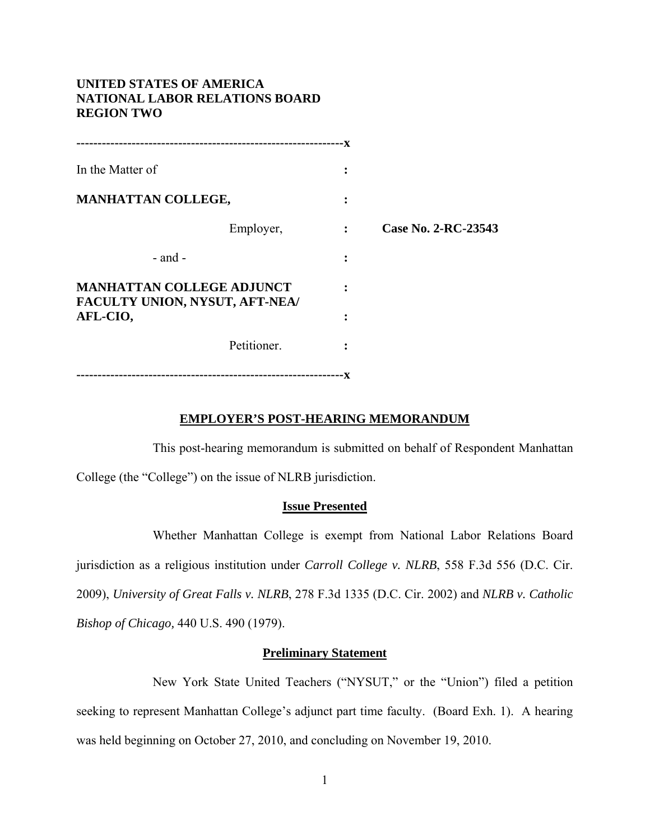# **UNITED STATES OF AMERICA NATIONAL LABOR RELATIONS BOARD REGION TWO**

|                                                                    |             | - X            |                     |
|--------------------------------------------------------------------|-------------|----------------|---------------------|
| In the Matter of                                                   |             | $\bullet$      |                     |
| <b>MANHATTAN COLLEGE,</b>                                          |             | ٠<br>۰         |                     |
|                                                                    | Employer,   | $\ddot{\cdot}$ | Case No. 2-RC-23543 |
| - and -                                                            |             | $\ddot{\cdot}$ |                     |
| <b>MANHATTAN COLLEGE ADJUNCT</b><br>FACULTY UNION, NYSUT, AFT-NEA/ |             |                |                     |
| AFL-CIO,                                                           |             | :              |                     |
|                                                                    | Petitioner. | $\ddot{\cdot}$ |                     |
|                                                                    |             | -x             |                     |

### **EMPLOYER'S POST-HEARING MEMORANDUM**

This post-hearing memorandum is submitted on behalf of Respondent Manhattan College (the "College") on the issue of NLRB jurisdiction.

### **Issue Presented**

Whether Manhattan College is exempt from National Labor Relations Board jurisdiction as a religious institution under *Carroll College v. NLRB*, 558 F.3d 556 (D.C. Cir. 2009), *University of Great Falls v. NLRB*, 278 F.3d 1335 (D.C. Cir. 2002) and *NLRB v. Catholic Bishop of Chicago,* 440 U.S. 490 (1979).

### **Preliminary Statement**

New York State United Teachers ("NYSUT," or the "Union") filed a petition seeking to represent Manhattan College's adjunct part time faculty. (Board Exh. 1). A hearing was held beginning on October 27, 2010, and concluding on November 19, 2010.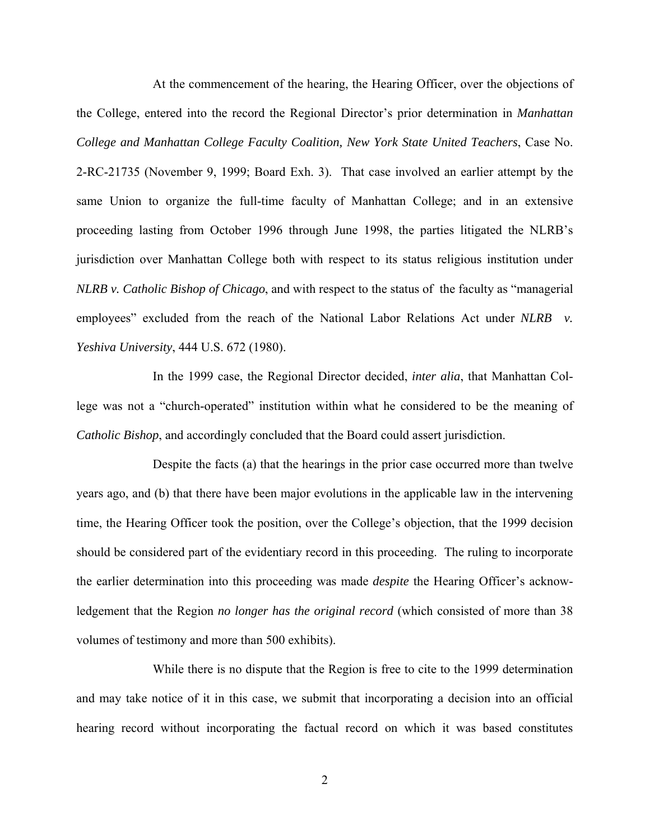At the commencement of the hearing, the Hearing Officer, over the objections of the College, entered into the record the Regional Director's prior determination in *Manhattan College and Manhattan College Faculty Coalition, New York State United Teachers*, Case No. 2-RC-21735 (November 9, 1999; Board Exh. 3). That case involved an earlier attempt by the same Union to organize the full-time faculty of Manhattan College; and in an extensive proceeding lasting from October 1996 through June 1998, the parties litigated the NLRB's jurisdiction over Manhattan College both with respect to its status religious institution under *NLRB v. Catholic Bishop of Chicago*, and with respect to the status of the faculty as "managerial employees" excluded from the reach of the National Labor Relations Act under *NLRB* v. *Yeshiva University*, 444 U.S. 672 (1980).

In the 1999 case, the Regional Director decided, *inter alia*, that Manhattan College was not a "church-operated" institution within what he considered to be the meaning of *Catholic Bishop*, and accordingly concluded that the Board could assert jurisdiction.

Despite the facts (a) that the hearings in the prior case occurred more than twelve years ago, and (b) that there have been major evolutions in the applicable law in the intervening time, the Hearing Officer took the position, over the College's objection, that the 1999 decision should be considered part of the evidentiary record in this proceeding. The ruling to incorporate the earlier determination into this proceeding was made *despite* the Hearing Officer's acknowledgement that the Region *no longer has the original record* (which consisted of more than 38 volumes of testimony and more than 500 exhibits).

While there is no dispute that the Region is free to cite to the 1999 determination and may take notice of it in this case, we submit that incorporating a decision into an official hearing record without incorporating the factual record on which it was based constitutes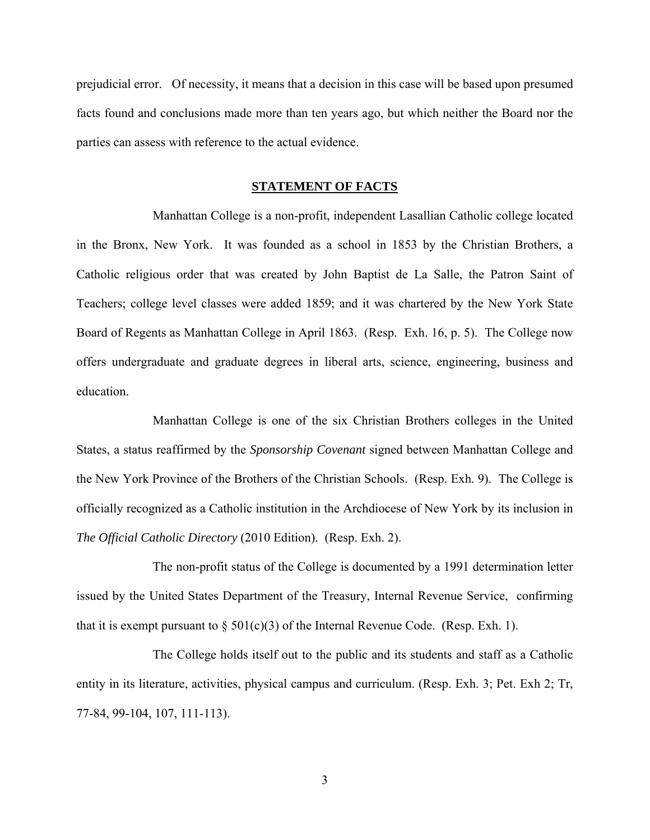prejudicial error. Of necessity, it means that a decision in this case will be based upon presumed facts found and conclusions made more than ten years ago, but which neither the Board nor the parties can assess with reference to the actual evidence.

### **STATEMENT OF FACTS**

Manhattan College is a non-profit, independent Lasallian Catholic college located in the Bronx, New York. It was founded as a school in 1853 by the Christian Brothers, a Catholic religious order that was created by John Baptist de La Salle, the Patron Saint of Teachers; college level classes were added 1859; and it was chartered by the New York State Board of Regents as Manhattan College in April 1863. (Resp. Exh. 16, p. 5). The College now offers undergraduate and graduate degrees in liberal arts, science, engineering, business and education.

Manhattan College is one of the six Christian Brothers colleges in the United States, a status reaffirmed by the *Sponsorship Covenant* signed between Manhattan College and the New York Province of the Brothers of the Christian Schools. (Resp. Exh. 9). The College is officially recognized as a Catholic institution in the Archdiocese of New York by its inclusion in *The Official Catholic Directory* (2010 Edition). (Resp. Exh. 2).

The non-profit status of the College is documented by a 1991 determination letter issued by the United States Department of the Treasury, Internal Revenue Service, confirming that it is exempt pursuant to  $\S$  501(c)(3) of the Internal Revenue Code. (Resp. Exh. 1).

The College holds itself out to the public and its students and staff as a Catholic entity in its literature, activities, physical campus and curriculum. (Resp. Exh. 3; Pet. Exh 2; Tr, 77-84, 99-104, 107, 111-113).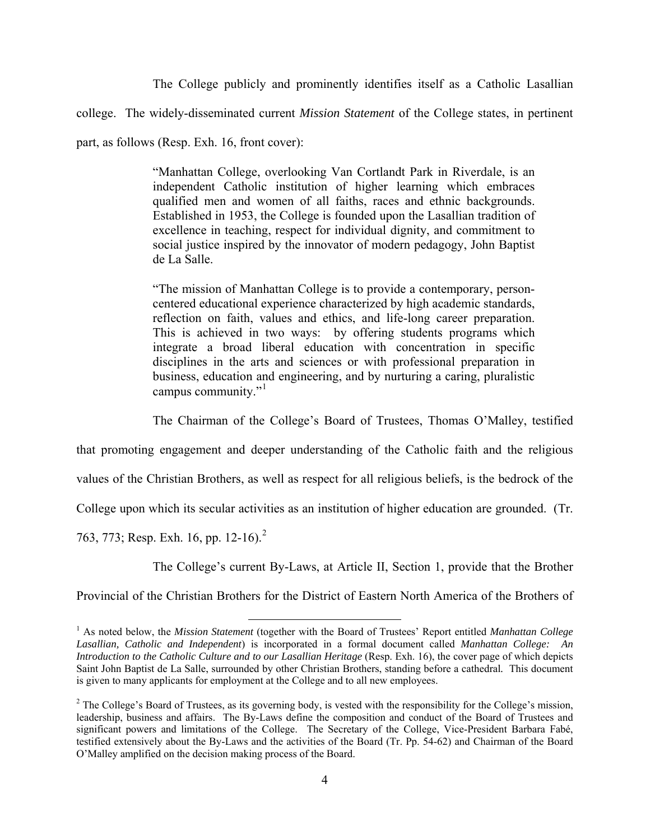The College publicly and prominently identifies itself as a Catholic Lasallian college. The widely-disseminated current *Mission Statement* of the College states, in pertinent part, as follows (Resp. Exh. 16, front cover):

> "Manhattan College, overlooking Van Cortlandt Park in Riverdale, is an independent Catholic institution of higher learning which embraces qualified men and women of all faiths, races and ethnic backgrounds. Established in 1953, the College is founded upon the Lasallian tradition of excellence in teaching, respect for individual dignity, and commitment to social justice inspired by the innovator of modern pedagogy, John Baptist de La Salle.

> "The mission of Manhattan College is to provide a contemporary, personcentered educational experience characterized by high academic standards, reflection on faith, values and ethics, and life-long career preparation. This is achieved in two ways: by offering students programs which integrate a broad liberal education with concentration in specific disciplines in the arts and sciences or with professional preparation in business, education and engineering, and by nurturing a caring, pluralistic campus community."<sup>[1](#page-3-0)</sup>

The Chairman of the College's Board of Trustees, Thomas O'Malley, testified

that promoting engagement and deeper understanding of the Catholic faith and the religious

values of the Christian Brothers, as well as respect for all religious beliefs, is the bedrock of the

College upon which its secular activities as an institution of higher education are grounded. (Tr.

763, 773; Resp. Exh. 16, pp. 1[2](#page-3-1)-16).<sup>2</sup>

The College's current By-Laws, at Article II, Section 1, provide that the Brother

Provincial of the Christian Brothers for the District of Eastern North America of the Brothers of

<span id="page-3-0"></span> <sup>1</sup> As noted below, the *Mission Statement* (together with the Board of Trustees' Report entitled *Manhattan College Lasallian, Catholic and Independent*) is incorporated in a formal document called *Manhattan College: An Introduction to the Catholic Culture and to our Lasallian Heritage* (Resp. Exh. 16), the cover page of which depicts Saint John Baptist de La Salle, surrounded by other Christian Brothers, standing before a cathedral*.* This document is given to many applicants for employment at the College and to all new employees.

<span id="page-3-1"></span> $2^2$  The College's Board of Trustees, as its governing body, is vested with the responsibility for the College's mission, leadership, business and affairs. The By-Laws define the composition and conduct of the Board of Trustees and significant powers and limitations of the College. The Secretary of the College, Vice-President Barbara Fabé, testified extensively about the By-Laws and the activities of the Board (Tr. Pp. 54-62) and Chairman of the Board O'Malley amplified on the decision making process of the Board.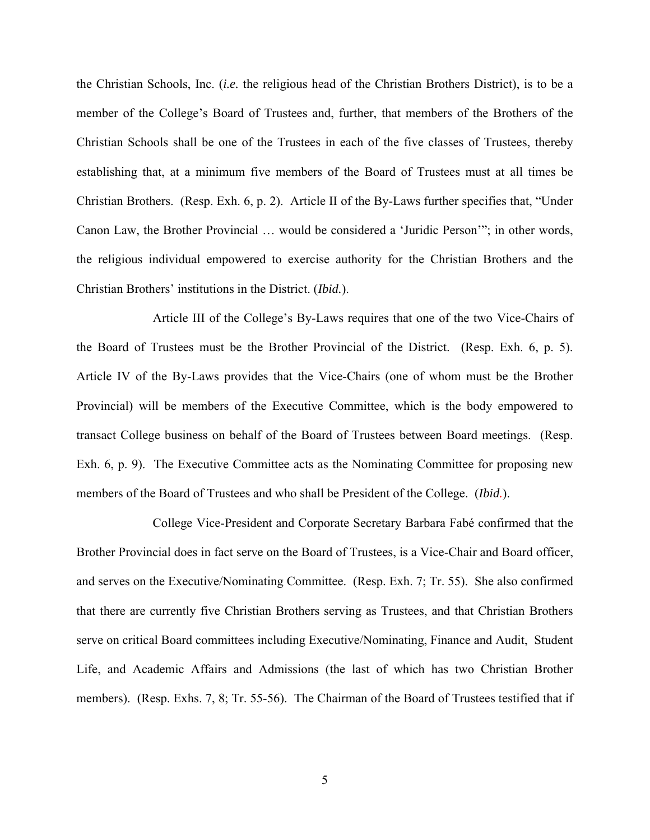the Christian Schools, Inc. (*i.e.* the religious head of the Christian Brothers District), is to be a member of the College's Board of Trustees and, further, that members of the Brothers of the Christian Schools shall be one of the Trustees in each of the five classes of Trustees, thereby establishing that, at a minimum five members of the Board of Trustees must at all times be Christian Brothers. (Resp. Exh. 6, p. 2). Article II of the By-Laws further specifies that, "Under Canon Law, the Brother Provincial … would be considered a 'Juridic Person'"; in other words, the religious individual empowered to exercise authority for the Christian Brothers and the Christian Brothers' institutions in the District. (*Ibid.*).

Article III of the College's By-Laws requires that one of the two Vice-Chairs of the Board of Trustees must be the Brother Provincial of the District. (Resp. Exh. 6, p. 5). Article IV of the By-Laws provides that the Vice-Chairs (one of whom must be the Brother Provincial) will be members of the Executive Committee, which is the body empowered to transact College business on behalf of the Board of Trustees between Board meetings. (Resp. Exh. 6, p. 9). The Executive Committee acts as the Nominating Committee for proposing new members of the Board of Trustees and who shall be President of the College. (*Ibid.*).

 College Vice-President and Corporate Secretary Barbara Fabé confirmed that the Brother Provincial does in fact serve on the Board of Trustees, is a Vice-Chair and Board officer, and serves on the Executive/Nominating Committee. (Resp. Exh. 7; Tr. 55). She also confirmed that there are currently five Christian Brothers serving as Trustees, and that Christian Brothers serve on critical Board committees including Executive/Nominating, Finance and Audit, Student Life, and Academic Affairs and Admissions (the last of which has two Christian Brother members). (Resp. Exhs. 7, 8; Tr. 55-56). The Chairman of the Board of Trustees testified that if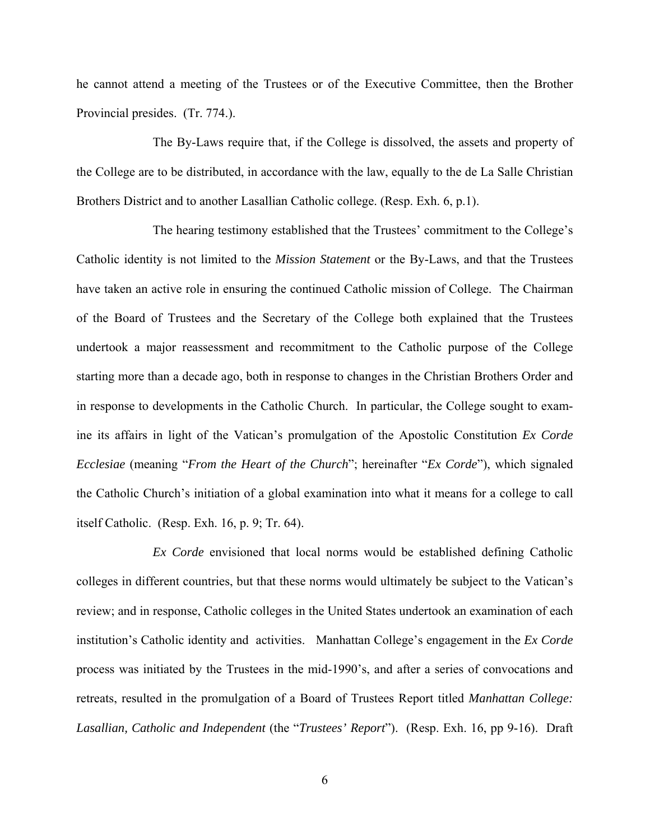he cannot attend a meeting of the Trustees or of the Executive Committee, then the Brother Provincial presides. (Tr. 774.).

The By-Laws require that, if the College is dissolved, the assets and property of the College are to be distributed, in accordance with the law, equally to the de La Salle Christian Brothers District and to another Lasallian Catholic college. (Resp. Exh. 6, p.1).

The hearing testimony established that the Trustees' commitment to the College's Catholic identity is not limited to the *Mission Statement* or the By-Laws, and that the Trustees have taken an active role in ensuring the continued Catholic mission of College. The Chairman of the Board of Trustees and the Secretary of the College both explained that the Trustees undertook a major reassessment and recommitment to the Catholic purpose of the College starting more than a decade ago, both in response to changes in the Christian Brothers Order and in response to developments in the Catholic Church. In particular, the College sought to examine its affairs in light of the Vatican's promulgation of the Apostolic Constitution *Ex Corde Ecclesiae* (meaning "*From the Heart of the Church*"; hereinafter "*Ex Corde*"), which signaled the Catholic Church's initiation of a global examination into what it means for a college to call itself Catholic. (Resp. Exh. 16, p. 9; Tr. 64).

 *Ex Corde* envisioned that local norms would be established defining Catholic colleges in different countries, but that these norms would ultimately be subject to the Vatican's review; and in response, Catholic colleges in the United States undertook an examination of each institution's Catholic identity and activities. Manhattan College's engagement in the *Ex Corde* process was initiated by the Trustees in the mid-1990's, and after a series of convocations and retreats, resulted in the promulgation of a Board of Trustees Report titled *Manhattan College: Lasallian, Catholic and Independent* (the "*Trustees' Report*"). (Resp. Exh. 16, pp 9-16). Draft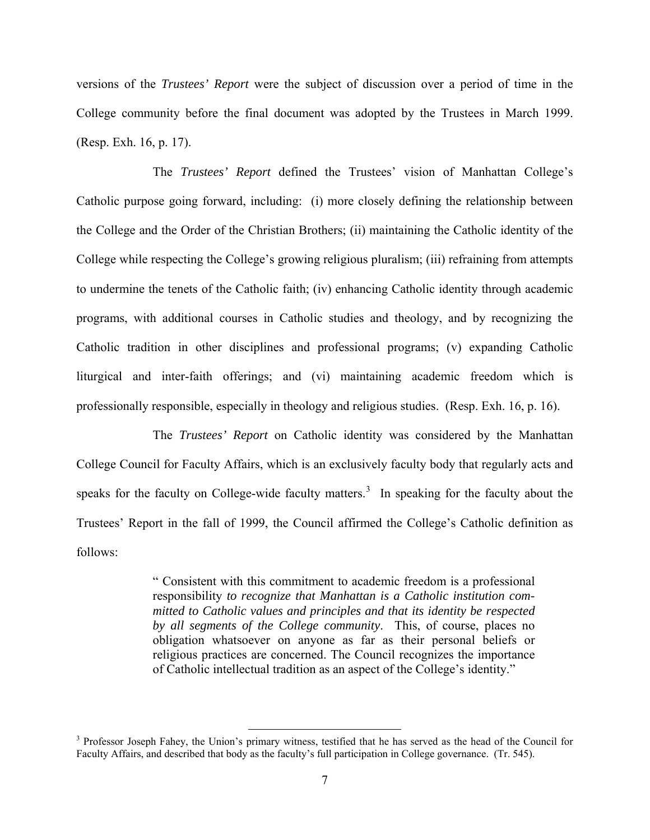versions of the *Trustees' Report* were the subject of discussion over a period of time in the College community before the final document was adopted by the Trustees in March 1999. (Resp. Exh. 16, p. 17).

The *Trustees' Report* defined the Trustees' vision of Manhattan College's Catholic purpose going forward, including: (i) more closely defining the relationship between the College and the Order of the Christian Brothers; (ii) maintaining the Catholic identity of the College while respecting the College's growing religious pluralism; (iii) refraining from attempts to undermine the tenets of the Catholic faith; (iv) enhancing Catholic identity through academic programs, with additional courses in Catholic studies and theology, and by recognizing the Catholic tradition in other disciplines and professional programs; (v) expanding Catholic liturgical and inter-faith offerings; and (vi) maintaining academic freedom which is professionally responsible, especially in theology and religious studies. (Resp. Exh. 16, p. 16).

The *Trustees' Report* on Catholic identity was considered by the Manhattan College Council for Faculty Affairs, which is an exclusively faculty body that regularly acts and speaks for the faculty on College-wide faculty matters.<sup>[3](#page-6-0)</sup> In speaking for the faculty about the Trustees' Report in the fall of 1999, the Council affirmed the College's Catholic definition as follows:

> " Consistent with this commitment to academic freedom is a professional responsibility *to recognize that Manhattan is a Catholic institution committed to Catholic values and principles and that its identity be respected by all segments of the College community*. This, of course, places no obligation whatsoever on anyone as far as their personal beliefs or religious practices are concerned. The Council recognizes the importance of Catholic intellectual tradition as an aspect of the College's identity."

<span id="page-6-0"></span><sup>&</sup>lt;sup>3</sup> Professor Joseph Fahey, the Union's primary witness, testified that he has served as the head of the Council for Faculty Affairs, and described that body as the faculty's full participation in College governance. (Tr. 545).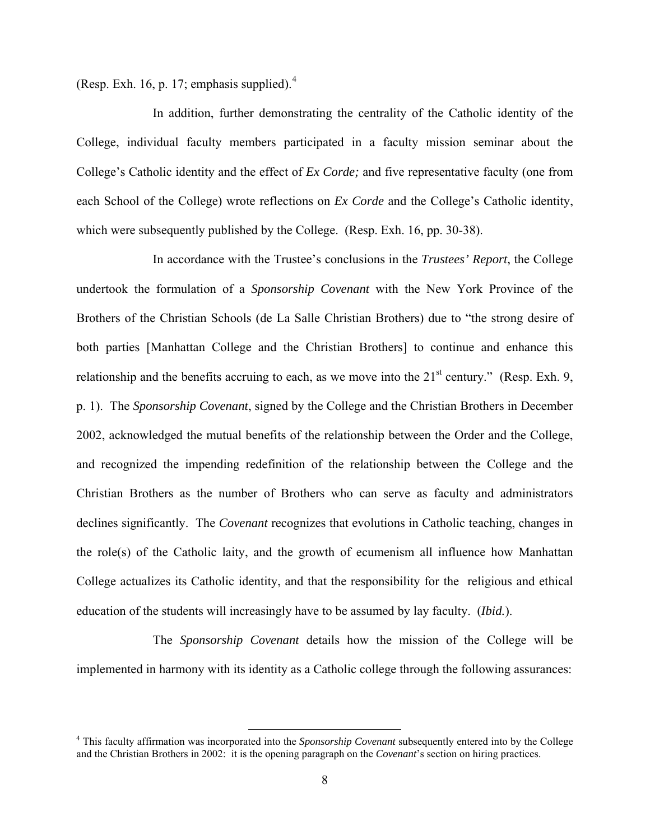(Resp. Exh. 16, p. 17; emphasis supplied). $<sup>4</sup>$  $<sup>4</sup>$  $<sup>4</sup>$ </sup>

In addition, further demonstrating the centrality of the Catholic identity of the College, individual faculty members participated in a faculty mission seminar about the College's Catholic identity and the effect of *Ex Corde;* and five representative faculty (one from each School of the College) wrote reflections on *Ex Corde* and the College's Catholic identity, which were subsequently published by the College. (Resp. Exh. 16, pp. 30-38).

In accordance with the Trustee's conclusions in the *Trustees' Report*, the College undertook the formulation of a *Sponsorship Covenant* with the New York Province of the Brothers of the Christian Schools (de La Salle Christian Brothers) due to "the strong desire of both parties [Manhattan College and the Christian Brothers] to continue and enhance this relationship and the benefits accruing to each, as we move into the  $21<sup>st</sup>$  century." (Resp. Exh. 9, p. 1). The *Sponsorship Covenant*, signed by the College and the Christian Brothers in December 2002, acknowledged the mutual benefits of the relationship between the Order and the College, and recognized the impending redefinition of the relationship between the College and the Christian Brothers as the number of Brothers who can serve as faculty and administrators declines significantly. The *Covenant* recognizes that evolutions in Catholic teaching, changes in the role(s) of the Catholic laity, and the growth of ecumenism all influence how Manhattan College actualizes its Catholic identity, and that the responsibility for the religious and ethical education of the students will increasingly have to be assumed by lay faculty. (*Ibid.*).

 The *Sponsorship Covenant* details how the mission of the College will be implemented in harmony with its identity as a Catholic college through the following assurances:

<span id="page-7-0"></span> <sup>4</sup> This faculty affirmation was incorporated into the *Sponsorship Covenant* subsequently entered into by the College and the Christian Brothers in 2002: it is the opening paragraph on the *Covenant*'s section on hiring practices.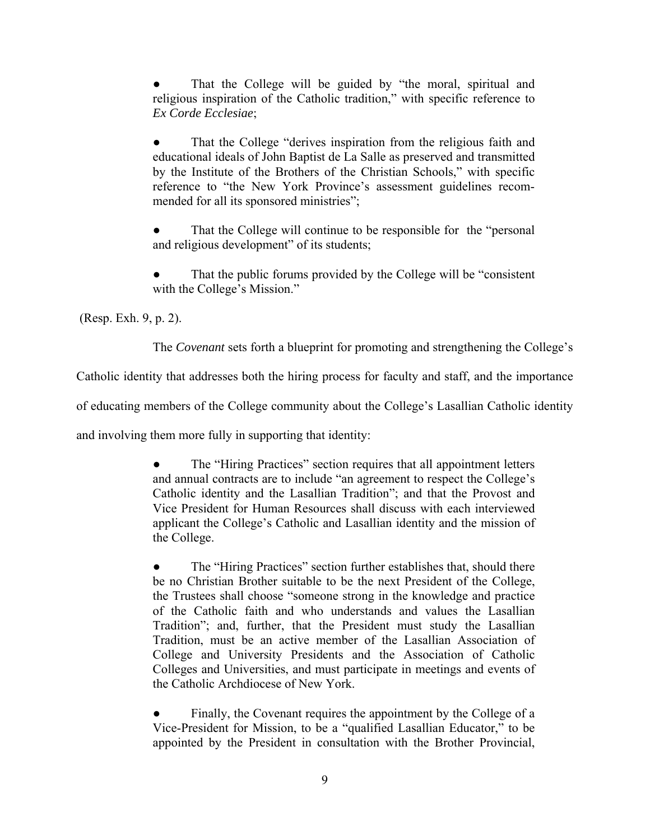That the College will be guided by "the moral, spiritual and religious inspiration of the Catholic tradition," with specific reference to *Ex Corde Ecclesiae*;

That the College "derives inspiration from the religious faith and educational ideals of John Baptist de La Salle as preserved and transmitted by the Institute of the Brothers of the Christian Schools," with specific reference to "the New York Province's assessment guidelines recommended for all its sponsored ministries";

That the College will continue to be responsible for the "personal" and religious development" of its students;

That the public forums provided by the College will be "consistent" with the College's Mission."

(Resp. Exh. 9, p. 2).

The *Covenant* sets forth a blueprint for promoting and strengthening the College's

Catholic identity that addresses both the hiring process for faculty and staff, and the importance

of educating members of the College community about the College's Lasallian Catholic identity

and involving them more fully in supporting that identity:

The "Hiring Practices" section requires that all appointment letters and annual contracts are to include "an agreement to respect the College's Catholic identity and the Lasallian Tradition"; and that the Provost and Vice President for Human Resources shall discuss with each interviewed applicant the College's Catholic and Lasallian identity and the mission of the College.

• The "Hiring Practices" section further establishes that, should there be no Christian Brother suitable to be the next President of the College, the Trustees shall choose "someone strong in the knowledge and practice of the Catholic faith and who understands and values the Lasallian Tradition"; and, further, that the President must study the Lasallian Tradition, must be an active member of the Lasallian Association of College and University Presidents and the Association of Catholic Colleges and Universities, and must participate in meetings and events of the Catholic Archdiocese of New York.

Finally, the Covenant requires the appointment by the College of a Vice-President for Mission, to be a "qualified Lasallian Educator," to be appointed by the President in consultation with the Brother Provincial,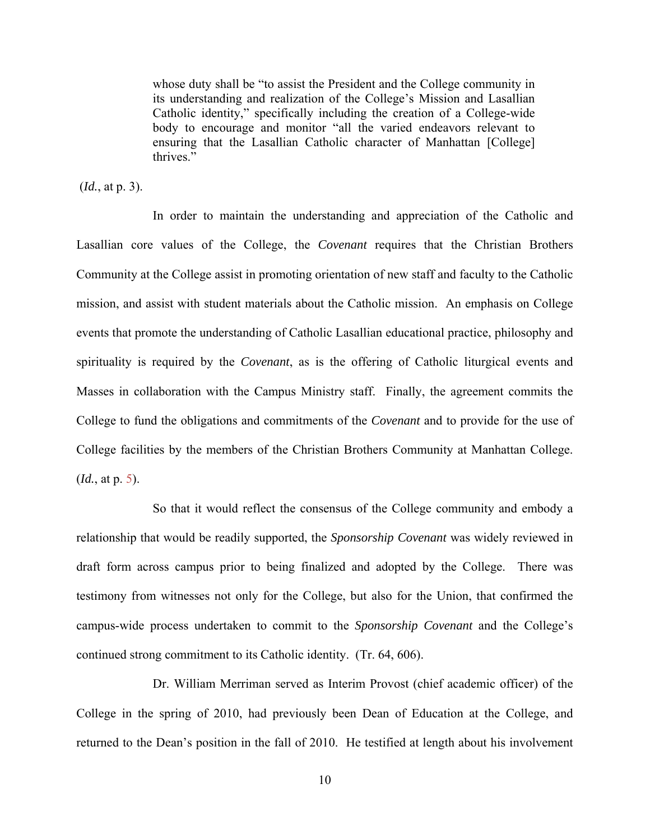whose duty shall be "to assist the President and the College community in its understanding and realization of the College's Mission and Lasallian Catholic identity," specifically including the creation of a College-wide body to encourage and monitor "all the varied endeavors relevant to ensuring that the Lasallian Catholic character of Manhattan [College] thrives."

(*Id.*, at p. 3).

In order to maintain the understanding and appreciation of the Catholic and Lasallian core values of the College, the *Covenant* requires that the Christian Brothers Community at the College assist in promoting orientation of new staff and faculty to the Catholic mission, and assist with student materials about the Catholic mission. An emphasis on College events that promote the understanding of Catholic Lasallian educational practice, philosophy and spirituality is required by the *Covenant*, as is the offering of Catholic liturgical events and Masses in collaboration with the Campus Ministry staff. Finally, the agreement commits the College to fund the obligations and commitments of the *Covenant* and to provide for the use of College facilities by the members of the Christian Brothers Community at Manhattan College. (*Id.*, at p. 5).

So that it would reflect the consensus of the College community and embody a relationship that would be readily supported, the *Sponsorship Covenant* was widely reviewed in draft form across campus prior to being finalized and adopted by the College. There was testimony from witnesses not only for the College, but also for the Union, that confirmed the campus-wide process undertaken to commit to the *Sponsorship Covenant* and the College's continued strong commitment to its Catholic identity. (Tr. 64, 606).

Dr. William Merriman served as Interim Provost (chief academic officer) of the College in the spring of 2010, had previously been Dean of Education at the College, and returned to the Dean's position in the fall of 2010. He testified at length about his involvement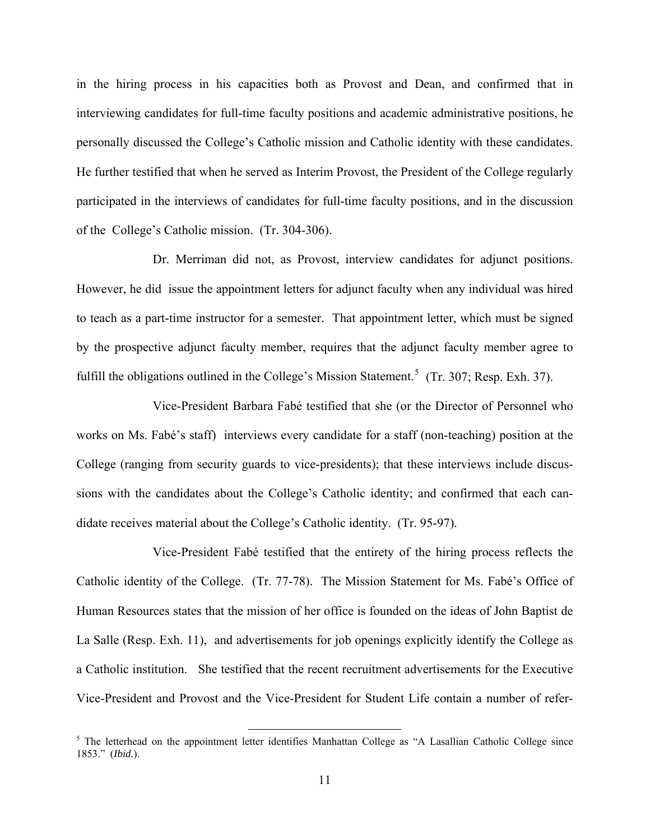in the hiring process in his capacities both as Provost and Dean, and confirmed that in interviewing candidates for full-time faculty positions and academic administrative positions, he personally discussed the College's Catholic mission and Catholic identity with these candidates. He further testified that when he served as Interim Provost, the President of the College regularly participated in the interviews of candidates for full-time faculty positions, and in the discussion of the College's Catholic mission. (Tr. 304-306).

Dr. Merriman did not, as Provost, interview candidates for adjunct positions. However, he did issue the appointment letters for adjunct faculty when any individual was hired to teach as a part-time instructor for a semester. That appointment letter, which must be signed by the prospective adjunct faculty member, requires that the adjunct faculty member agree to fulfill the obligations outlined in the College's Mission Statement.<sup>[5](#page-10-0)</sup> (Tr. 307; Resp. Exh. 37).

Vice-President Barbara Fabé testified that she (or the Director of Personnel who works on Ms. Fabé's staff) interviews every candidate for a staff (non-teaching) position at the College (ranging from security guards to vice-presidents); that these interviews include discussions with the candidates about the College's Catholic identity; and confirmed that each candidate receives material about the College's Catholic identity. (Tr. 95-97).

Vice-President Fabé testified that the entirety of the hiring process reflects the Catholic identity of the College. (Tr. 77-78). The Mission Statement for Ms. Fabé's Office of Human Resources states that the mission of her office is founded on the ideas of John Baptist de La Salle (Resp. Exh. 11), and advertisements for job openings explicitly identify the College as a Catholic institution. She testified that the recent recruitment advertisements for the Executive Vice-President and Provost and the Vice-President for Student Life contain a number of refer-

<span id="page-10-0"></span><sup>&</sup>lt;sup>5</sup> The letterhead on the appointment letter identifies Manhattan College as "A Lasallian Catholic College since 1853." (*Ibid.*).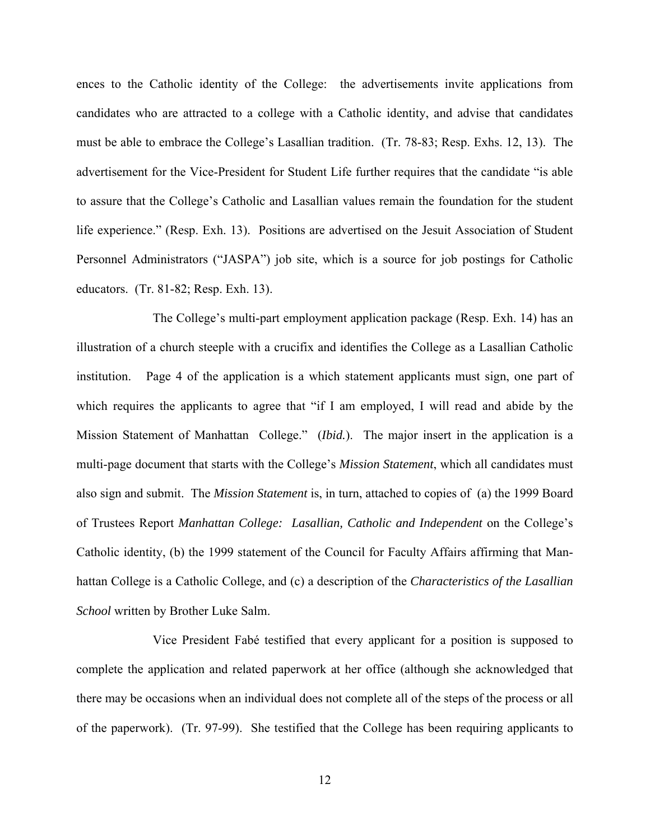ences to the Catholic identity of the College: the advertisements invite applications from candidates who are attracted to a college with a Catholic identity, and advise that candidates must be able to embrace the College's Lasallian tradition. (Tr. 78-83; Resp. Exhs. 12, 13). The advertisement for the Vice-President for Student Life further requires that the candidate "is able to assure that the College's Catholic and Lasallian values remain the foundation for the student life experience." (Resp. Exh. 13). Positions are advertised on the Jesuit Association of Student Personnel Administrators ("JASPA") job site, which is a source for job postings for Catholic educators. (Tr. 81-82; Resp. Exh. 13).

The College's multi-part employment application package (Resp. Exh. 14) has an illustration of a church steeple with a crucifix and identifies the College as a Lasallian Catholic institution. Page 4 of the application is a which statement applicants must sign, one part of which requires the applicants to agree that "if I am employed, I will read and abide by the Mission Statement of Manhattan College." (*Ibid.*). The major insert in the application is a multi-page document that starts with the College's *Mission Statement*, which all candidates must also sign and submit. The *Mission Statement* is, in turn, attached to copies of (a) the 1999 Board of Trustees Report *Manhattan College: Lasallian, Catholic and Independent* on the College's Catholic identity, (b) the 1999 statement of the Council for Faculty Affairs affirming that Manhattan College is a Catholic College, and (c) a description of the *Characteristics of the Lasallian School* written by Brother Luke Salm.

Vice President Fabé testified that every applicant for a position is supposed to complete the application and related paperwork at her office (although she acknowledged that there may be occasions when an individual does not complete all of the steps of the process or all of the paperwork). (Tr. 97-99). She testified that the College has been requiring applicants to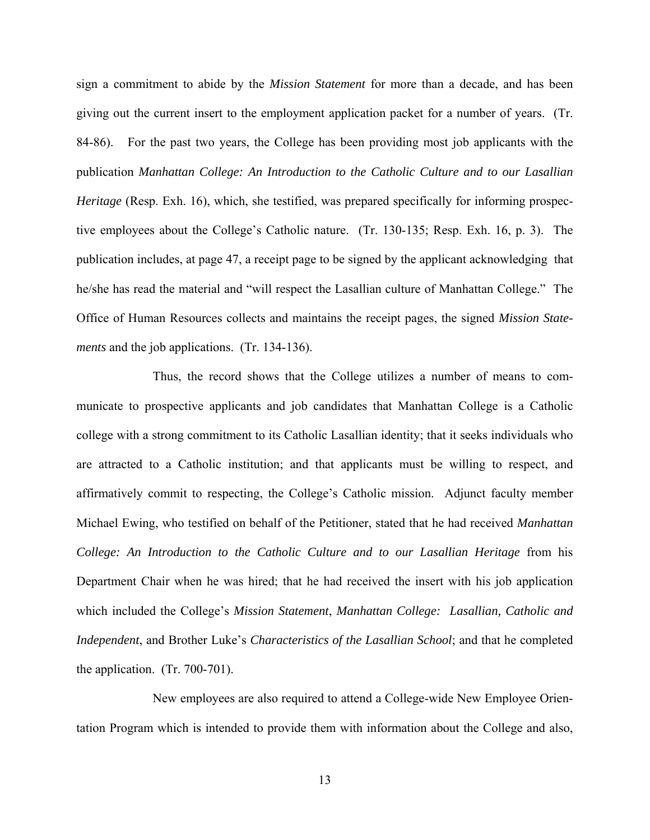sign a commitment to abide by the *Mission Statement* for more than a decade, and has been giving out the current insert to the employment application packet for a number of years. (Tr. 84-86). For the past two years, the College has been providing most job applicants with the publication *Manhattan College: An Introduction to the Catholic Culture and to our Lasallian Heritage* (Resp. Exh. 16), which, she testified, was prepared specifically for informing prospective employees about the College's Catholic nature. (Tr. 130-135; Resp. Exh. 16, p. 3). The publication includes, at page 47, a receipt page to be signed by the applicant acknowledging that he/she has read the material and "will respect the Lasallian culture of Manhattan College." The Office of Human Resources collects and maintains the receipt pages, the signed *Mission Statements* and the job applications. (Tr. 134-136).

Thus, the record shows that the College utilizes a number of means to communicate to prospective applicants and job candidates that Manhattan College is a Catholic college with a strong commitment to its Catholic Lasallian identity; that it seeks individuals who are attracted to a Catholic institution; and that applicants must be willing to respect, and affirmatively commit to respecting, the College's Catholic mission. Adjunct faculty member Michael Ewing, who testified on behalf of the Petitioner, stated that he had received *Manhattan College: An Introduction to the Catholic Culture and to our Lasallian Heritage* from his Department Chair when he was hired; that he had received the insert with his job application which included the College's *Mission Statement*, *Manhattan College: Lasallian, Catholic and Independent*, and Brother Luke's *Characteristics of the Lasallian School*; and that he completed the application. (Tr. 700-701).

New employees are also required to attend a College-wide New Employee Orientation Program which is intended to provide them with information about the College and also,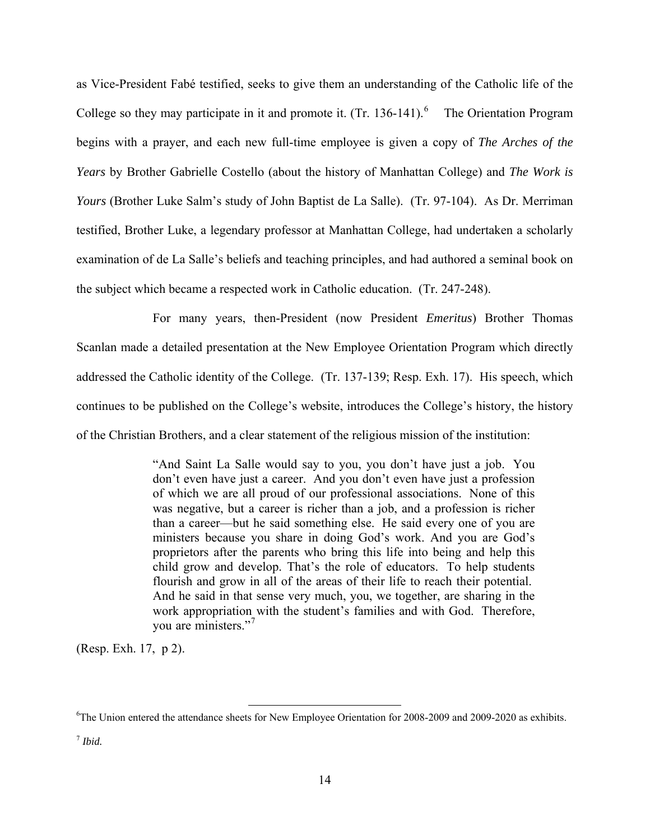as Vice-President Fabé testified, seeks to give them an understanding of the Catholic life of the College so they may participate in it and promote it.  $(Tr. 136-141).$  $(Tr. 136-141).$  $(Tr. 136-141).$ <sup>6</sup> The Orientation Program begins with a prayer, and each new full-time employee is given a copy of *The Arches of the Years* by Brother Gabrielle Costello (about the history of Manhattan College) and *The Work is Yours* (Brother Luke Salm's study of John Baptist de La Salle). (Tr. 97-104). As Dr. Merriman testified, Brother Luke, a legendary professor at Manhattan College, had undertaken a scholarly examination of de La Salle's beliefs and teaching principles, and had authored a seminal book on the subject which became a respected work in Catholic education. (Tr. 247-248).

For many years, then-President (now President *Emeritus*) Brother Thomas Scanlan made a detailed presentation at the New Employee Orientation Program which directly addressed the Catholic identity of the College. (Tr. 137-139; Resp. Exh. 17). His speech, which continues to be published on the College's website, introduces the College's history, the history of the Christian Brothers, and a clear statement of the religious mission of the institution:

> "And Saint La Salle would say to you, you don't have just a job. You don't even have just a career. And you don't even have just a profession of which we are all proud of our professional associations. None of this was negative, but a career is richer than a job, and a profession is richer than a career—but he said something else. He said every one of you are ministers because you share in doing God's work. And you are God's proprietors after the parents who bring this life into being and help this child grow and develop. That's the role of educators. To help students flourish and grow in all of the areas of their life to reach their potential. And he said in that sense very much, you, we together, are sharing in the work appropriation with the student's families and with God. Therefore, you are ministers."[7](#page-13-1)

(Resp. Exh. 17, p 2).

<span id="page-13-1"></span> $^7$ *Ibid.* 

<span id="page-13-0"></span><sup>&</sup>lt;sup>6</sup>The Union entered the attendance sheets for New Employee Orientation for 2008-2009 and 2009-2020 as exhibits.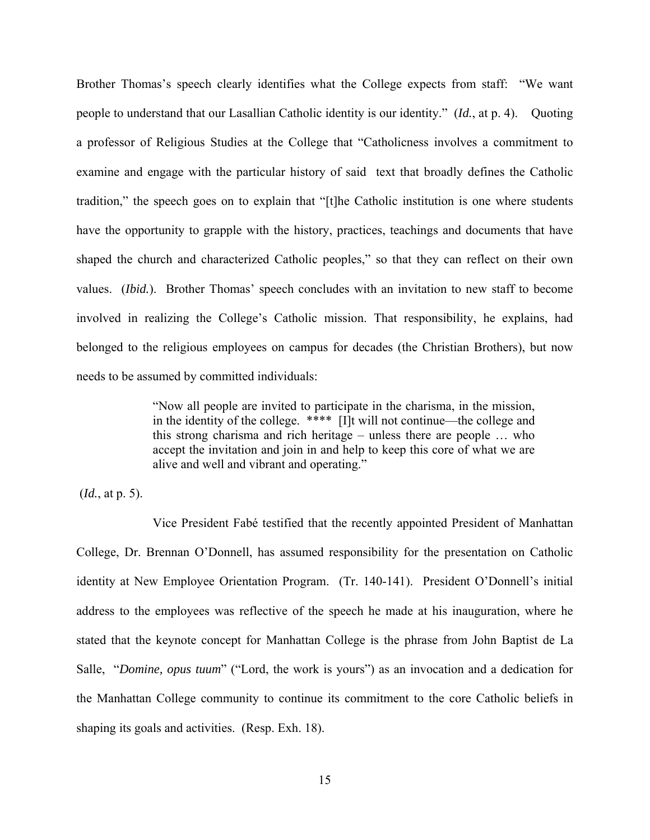Brother Thomas's speech clearly identifies what the College expects from staff: "We want people to understand that our Lasallian Catholic identity is our identity." (*Id.*, at p. 4). Quoting a professor of Religious Studies at the College that "Catholicness involves a commitment to examine and engage with the particular history of said text that broadly defines the Catholic tradition," the speech goes on to explain that "[t]he Catholic institution is one where students have the opportunity to grapple with the history, practices, teachings and documents that have shaped the church and characterized Catholic peoples," so that they can reflect on their own values. (*Ibid.*). Brother Thomas' speech concludes with an invitation to new staff to become involved in realizing the College's Catholic mission. That responsibility, he explains, had belonged to the religious employees on campus for decades (the Christian Brothers), but now needs to be assumed by committed individuals:

> "Now all people are invited to participate in the charisma, in the mission, in the identity of the college. \*\*\*\* [I]t will not continue—the college and this strong charisma and rich heritage – unless there are people … who accept the invitation and join in and help to keep this core of what we are alive and well and vibrant and operating."

(*Id.*, at p. 5).

Vice President Fabé testified that the recently appointed President of Manhattan College, Dr. Brennan O'Donnell, has assumed responsibility for the presentation on Catholic identity at New Employee Orientation Program. (Tr. 140-141). President O'Donnell's initial address to the employees was reflective of the speech he made at his inauguration, where he stated that the keynote concept for Manhattan College is the phrase from John Baptist de La Salle, "*Domine, opus tuum*" ("Lord, the work is yours") as an invocation and a dedication for the Manhattan College community to continue its commitment to the core Catholic beliefs in shaping its goals and activities. (Resp. Exh. 18).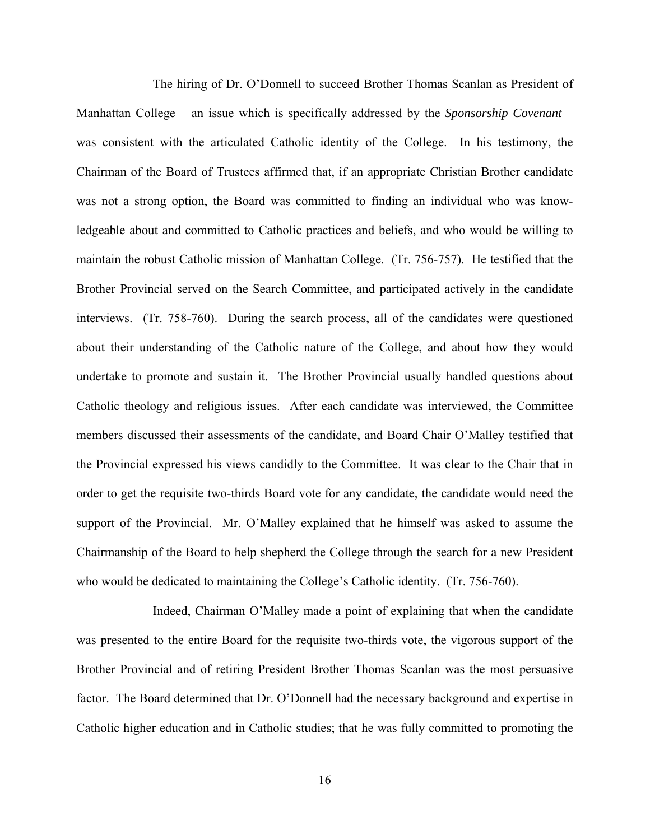The hiring of Dr. O'Donnell to succeed Brother Thomas Scanlan as President of Manhattan College – an issue which is specifically addressed by the *Sponsorship Covenant* – was consistent with the articulated Catholic identity of the College. In his testimony, the Chairman of the Board of Trustees affirmed that, if an appropriate Christian Brother candidate was not a strong option, the Board was committed to finding an individual who was knowledgeable about and committed to Catholic practices and beliefs, and who would be willing to maintain the robust Catholic mission of Manhattan College. (Tr. 756-757). He testified that the Brother Provincial served on the Search Committee, and participated actively in the candidate interviews. (Tr. 758-760). During the search process, all of the candidates were questioned about their understanding of the Catholic nature of the College, and about how they would undertake to promote and sustain it. The Brother Provincial usually handled questions about Catholic theology and religious issues. After each candidate was interviewed, the Committee members discussed their assessments of the candidate, and Board Chair O'Malley testified that the Provincial expressed his views candidly to the Committee. It was clear to the Chair that in order to get the requisite two-thirds Board vote for any candidate, the candidate would need the support of the Provincial. Mr. O'Malley explained that he himself was asked to assume the Chairmanship of the Board to help shepherd the College through the search for a new President who would be dedicated to maintaining the College's Catholic identity. (Tr. 756-760).

Indeed, Chairman O'Malley made a point of explaining that when the candidate was presented to the entire Board for the requisite two-thirds vote, the vigorous support of the Brother Provincial and of retiring President Brother Thomas Scanlan was the most persuasive factor. The Board determined that Dr. O'Donnell had the necessary background and expertise in Catholic higher education and in Catholic studies; that he was fully committed to promoting the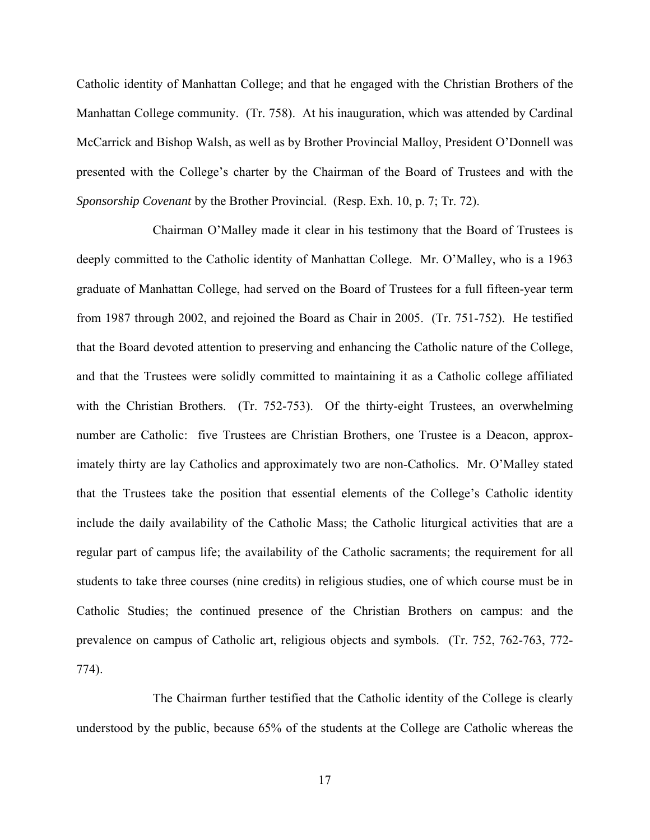Catholic identity of Manhattan College; and that he engaged with the Christian Brothers of the Manhattan College community. (Tr. 758). At his inauguration, which was attended by Cardinal McCarrick and Bishop Walsh, as well as by Brother Provincial Malloy, President O'Donnell was presented with the College's charter by the Chairman of the Board of Trustees and with the *Sponsorship Covenant* by the Brother Provincial. (Resp. Exh. 10, p. 7; Tr. 72).

Chairman O'Malley made it clear in his testimony that the Board of Trustees is deeply committed to the Catholic identity of Manhattan College. Mr. O'Malley, who is a 1963 graduate of Manhattan College, had served on the Board of Trustees for a full fifteen-year term from 1987 through 2002, and rejoined the Board as Chair in 2005. (Tr. 751-752). He testified that the Board devoted attention to preserving and enhancing the Catholic nature of the College, and that the Trustees were solidly committed to maintaining it as a Catholic college affiliated with the Christian Brothers. (Tr. 752-753). Of the thirty-eight Trustees, an overwhelming number are Catholic: five Trustees are Christian Brothers, one Trustee is a Deacon, approximately thirty are lay Catholics and approximately two are non-Catholics. Mr. O'Malley stated that the Trustees take the position that essential elements of the College's Catholic identity include the daily availability of the Catholic Mass; the Catholic liturgical activities that are a regular part of campus life; the availability of the Catholic sacraments; the requirement for all students to take three courses (nine credits) in religious studies, one of which course must be in Catholic Studies; the continued presence of the Christian Brothers on campus: and the prevalence on campus of Catholic art, religious objects and symbols. (Tr. 752, 762-763, 772- 774).

The Chairman further testified that the Catholic identity of the College is clearly understood by the public, because 65% of the students at the College are Catholic whereas the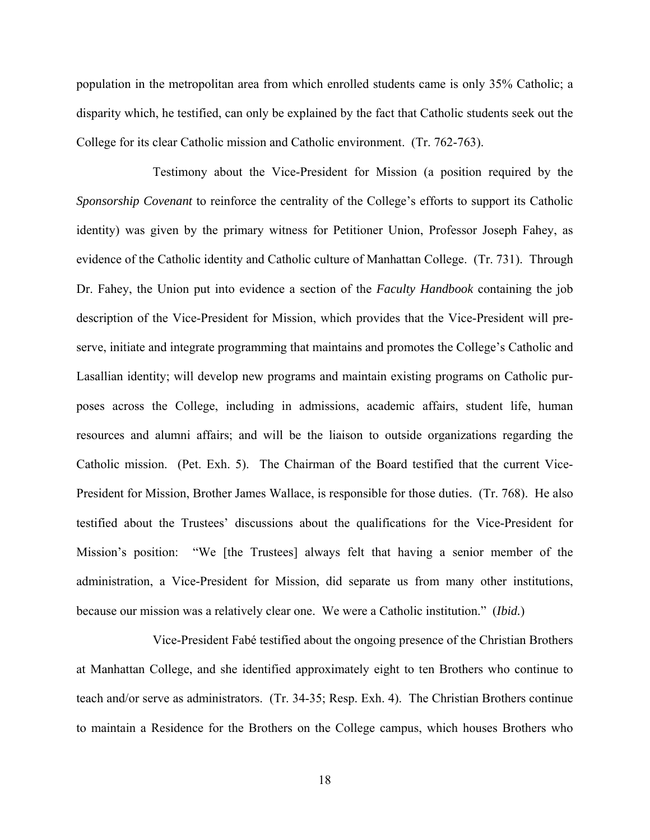population in the metropolitan area from which enrolled students came is only 35% Catholic; a disparity which, he testified, can only be explained by the fact that Catholic students seek out the College for its clear Catholic mission and Catholic environment. (Tr. 762-763).

Testimony about the Vice-President for Mission (a position required by the *Sponsorship Covenant* to reinforce the centrality of the College's efforts to support its Catholic identity) was given by the primary witness for Petitioner Union, Professor Joseph Fahey, as evidence of the Catholic identity and Catholic culture of Manhattan College. (Tr. 731). Through Dr. Fahey, the Union put into evidence a section of the *Faculty Handbook* containing the job description of the Vice-President for Mission, which provides that the Vice-President will preserve, initiate and integrate programming that maintains and promotes the College's Catholic and Lasallian identity; will develop new programs and maintain existing programs on Catholic purposes across the College, including in admissions, academic affairs, student life, human resources and alumni affairs; and will be the liaison to outside organizations regarding the Catholic mission. (Pet. Exh. 5). The Chairman of the Board testified that the current Vice-President for Mission, Brother James Wallace, is responsible for those duties. (Tr. 768). He also testified about the Trustees' discussions about the qualifications for the Vice-President for Mission's position: "We [the Trustees] always felt that having a senior member of the administration, a Vice-President for Mission, did separate us from many other institutions, because our mission was a relatively clear one. We were a Catholic institution." (*Ibid.*)

Vice-President Fabé testified about the ongoing presence of the Christian Brothers at Manhattan College, and she identified approximately eight to ten Brothers who continue to teach and/or serve as administrators. (Tr. 34-35; Resp. Exh. 4). The Christian Brothers continue to maintain a Residence for the Brothers on the College campus, which houses Brothers who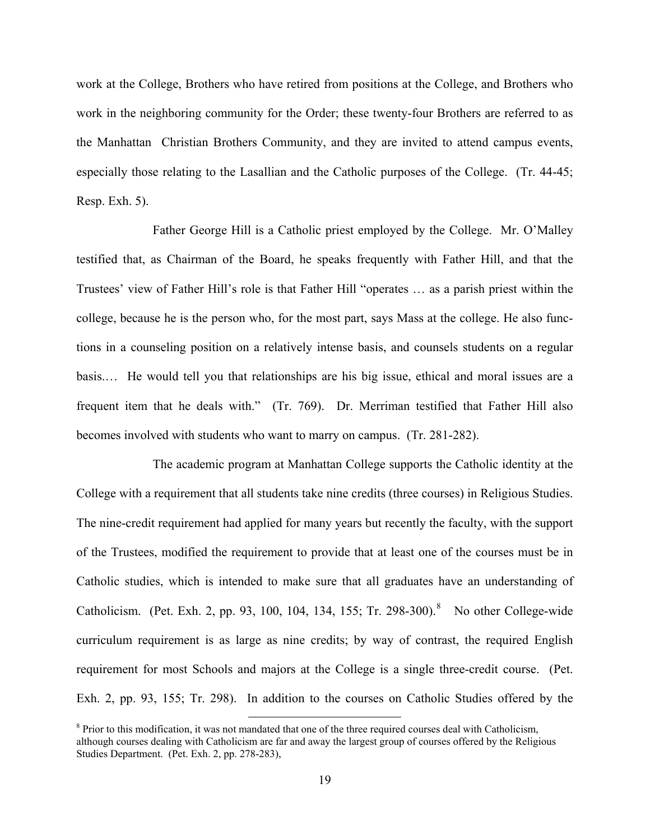work at the College, Brothers who have retired from positions at the College, and Brothers who work in the neighboring community for the Order; these twenty-four Brothers are referred to as the Manhattan Christian Brothers Community, and they are invited to attend campus events, especially those relating to the Lasallian and the Catholic purposes of the College. (Tr. 44-45; Resp. Exh. 5).

Father George Hill is a Catholic priest employed by the College. Mr. O'Malley testified that, as Chairman of the Board, he speaks frequently with Father Hill, and that the Trustees' view of Father Hill's role is that Father Hill "operates … as a parish priest within the college, because he is the person who, for the most part, says Mass at the college. He also functions in a counseling position on a relatively intense basis, and counsels students on a regular basis.… He would tell you that relationships are his big issue, ethical and moral issues are a frequent item that he deals with." (Tr. 769). Dr. Merriman testified that Father Hill also becomes involved with students who want to marry on campus. (Tr. 281-282).

The academic program at Manhattan College supports the Catholic identity at the College with a requirement that all students take nine credits (three courses) in Religious Studies. The nine-credit requirement had applied for many years but recently the faculty, with the support of the Trustees, modified the requirement to provide that at least one of the courses must be in Catholic studies, which is intended to make sure that all graduates have an understanding of Catholicism. (Pet. Exh. 2, pp. 93, 100, 104, 134, 155; Tr. 29[8](#page-18-0)-300).<sup>8</sup> No other College-wide curriculum requirement is as large as nine credits; by way of contrast, the required English requirement for most Schools and majors at the College is a single three-credit course. (Pet. Exh. 2, pp. 93, 155; Tr. 298). In addition to the courses on Catholic Studies offered by the

<span id="page-18-0"></span><sup>&</sup>lt;sup>8</sup> Prior to this modification, it was not mandated that one of the three required courses deal with Catholicism, although courses dealing with Catholicism are far and away the largest group of courses offered by the Religious Studies Department. (Pet. Exh. 2, pp. 278-283),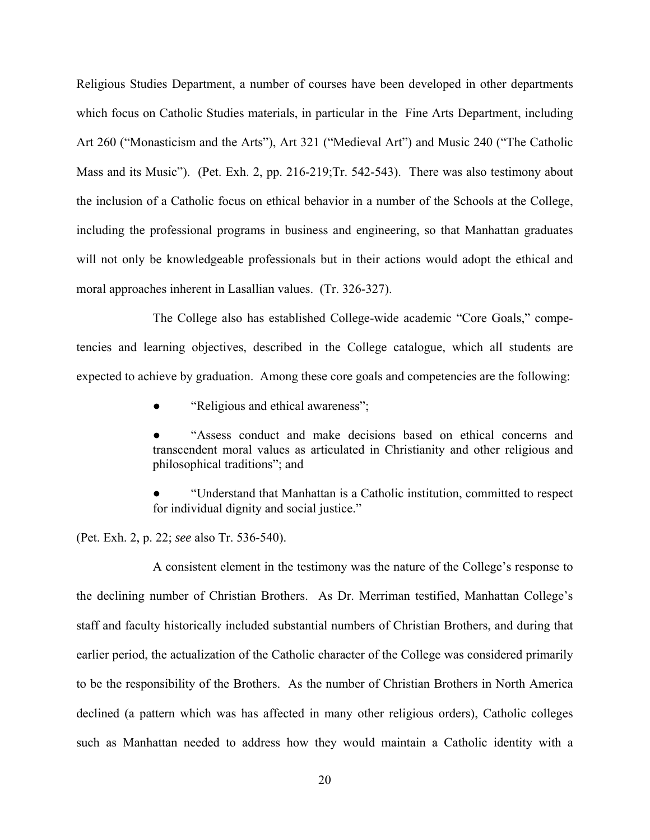Religious Studies Department, a number of courses have been developed in other departments which focus on Catholic Studies materials, in particular in the Fine Arts Department, including Art 260 ("Monasticism and the Arts"), Art 321 ("Medieval Art") and Music 240 ("The Catholic Mass and its Music"). (Pet. Exh. 2, pp. 216-219;Tr. 542-543). There was also testimony about the inclusion of a Catholic focus on ethical behavior in a number of the Schools at the College, including the professional programs in business and engineering, so that Manhattan graduates will not only be knowledgeable professionals but in their actions would adopt the ethical and moral approaches inherent in Lasallian values. (Tr. 326-327).

The College also has established College-wide academic "Core Goals," competencies and learning objectives, described in the College catalogue, which all students are expected to achieve by graduation. Among these core goals and competencies are the following:

"Religious and ethical awareness";

"Assess conduct and make decisions based on ethical concerns and transcendent moral values as articulated in Christianity and other religious and philosophical traditions"; and

"Understand that Manhattan is a Catholic institution, committed to respect for individual dignity and social justice."

(Pet. Exh. 2, p. 22; *see* also Tr. 536-540).

A consistent element in the testimony was the nature of the College's response to the declining number of Christian Brothers. As Dr. Merriman testified, Manhattan College's staff and faculty historically included substantial numbers of Christian Brothers, and during that earlier period, the actualization of the Catholic character of the College was considered primarily to be the responsibility of the Brothers. As the number of Christian Brothers in North America declined (a pattern which was has affected in many other religious orders), Catholic colleges such as Manhattan needed to address how they would maintain a Catholic identity with a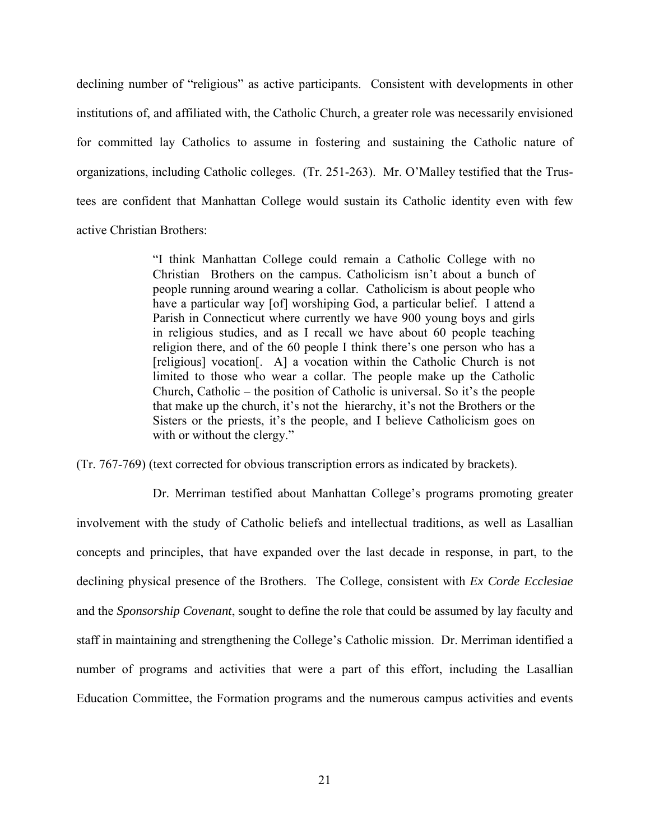declining number of "religious" as active participants. Consistent with developments in other institutions of, and affiliated with, the Catholic Church, a greater role was necessarily envisioned for committed lay Catholics to assume in fostering and sustaining the Catholic nature of organizations, including Catholic colleges. (Tr. 251-263). Mr. O'Malley testified that the Trustees are confident that Manhattan College would sustain its Catholic identity even with few active Christian Brothers:

> "I think Manhattan College could remain a Catholic College with no Christian Brothers on the campus. Catholicism isn't about a bunch of people running around wearing a collar. Catholicism is about people who have a particular way [of] worshiping God, a particular belief. I attend a Parish in Connecticut where currently we have 900 young boys and girls in religious studies, and as I recall we have about 60 people teaching religion there, and of the 60 people I think there's one person who has a [religious] vocation[. A] a vocation within the Catholic Church is not limited to those who wear a collar. The people make up the Catholic Church, Catholic – the position of Catholic is universal. So it's the people that make up the church, it's not the hierarchy, it's not the Brothers or the Sisters or the priests, it's the people, and I believe Catholicism goes on with or without the clergy."

(Tr. 767-769) (text corrected for obvious transcription errors as indicated by brackets).

Dr. Merriman testified about Manhattan College's programs promoting greater involvement with the study of Catholic beliefs and intellectual traditions, as well as Lasallian concepts and principles, that have expanded over the last decade in response, in part, to the declining physical presence of the Brothers. The College, consistent with *Ex Corde Ecclesiae* and the *Sponsorship Covenant*, sought to define the role that could be assumed by lay faculty and staff in maintaining and strengthening the College's Catholic mission. Dr. Merriman identified a number of programs and activities that were a part of this effort, including the Lasallian Education Committee, the Formation programs and the numerous campus activities and events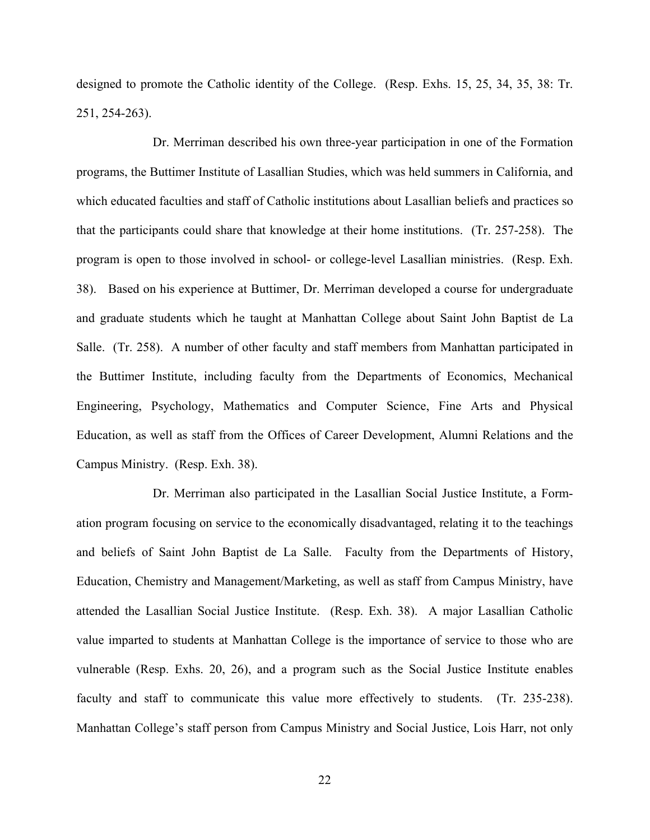designed to promote the Catholic identity of the College. (Resp. Exhs. 15, 25, 34, 35, 38: Tr. 251, 254-263).

Dr. Merriman described his own three-year participation in one of the Formation programs, the Buttimer Institute of Lasallian Studies, which was held summers in California, and which educated faculties and staff of Catholic institutions about Lasallian beliefs and practices so that the participants could share that knowledge at their home institutions. (Tr. 257-258). The program is open to those involved in school- or college-level Lasallian ministries. (Resp. Exh. 38). Based on his experience at Buttimer, Dr. Merriman developed a course for undergraduate and graduate students which he taught at Manhattan College about Saint John Baptist de La Salle. (Tr. 258). A number of other faculty and staff members from Manhattan participated in the Buttimer Institute, including faculty from the Departments of Economics, Mechanical Engineering, Psychology, Mathematics and Computer Science, Fine Arts and Physical Education, as well as staff from the Offices of Career Development, Alumni Relations and the Campus Ministry. (Resp. Exh. 38).

Dr. Merriman also participated in the Lasallian Social Justice Institute, a Formation program focusing on service to the economically disadvantaged, relating it to the teachings and beliefs of Saint John Baptist de La Salle. Faculty from the Departments of History, Education, Chemistry and Management/Marketing, as well as staff from Campus Ministry, have attended the Lasallian Social Justice Institute. (Resp. Exh. 38). A major Lasallian Catholic value imparted to students at Manhattan College is the importance of service to those who are vulnerable (Resp. Exhs. 20, 26), and a program such as the Social Justice Institute enables faculty and staff to communicate this value more effectively to students. (Tr. 235-238). Manhattan College's staff person from Campus Ministry and Social Justice, Lois Harr, not only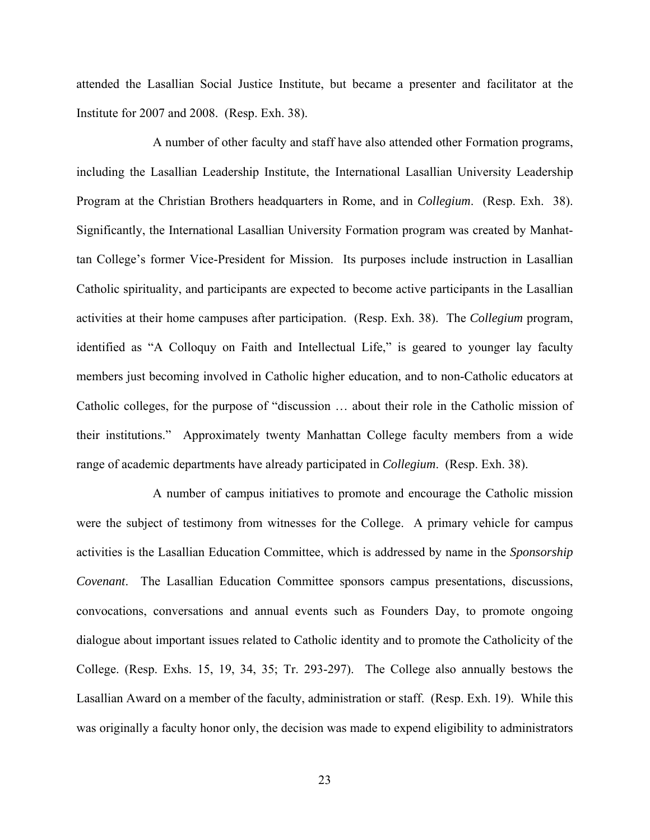attended the Lasallian Social Justice Institute, but became a presenter and facilitator at the Institute for 2007 and 2008. (Resp. Exh. 38).

A number of other faculty and staff have also attended other Formation programs, including the Lasallian Leadership Institute, the International Lasallian University Leadership Program at the Christian Brothers headquarters in Rome, and in *Collegium*. (Resp. Exh. 38). Significantly, the International Lasallian University Formation program was created by Manhattan College's former Vice-President for Mission. Its purposes include instruction in Lasallian Catholic spirituality, and participants are expected to become active participants in the Lasallian activities at their home campuses after participation. (Resp. Exh. 38). The *Collegium* program, identified as "A Colloquy on Faith and Intellectual Life," is geared to younger lay faculty members just becoming involved in Catholic higher education, and to non-Catholic educators at Catholic colleges, for the purpose of "discussion … about their role in the Catholic mission of their institutions." Approximately twenty Manhattan College faculty members from a wide range of academic departments have already participated in *Collegium*. (Resp. Exh. 38).

A number of campus initiatives to promote and encourage the Catholic mission were the subject of testimony from witnesses for the College. A primary vehicle for campus activities is the Lasallian Education Committee, which is addressed by name in the *Sponsorship Covenant*. The Lasallian Education Committee sponsors campus presentations, discussions, convocations, conversations and annual events such as Founders Day, to promote ongoing dialogue about important issues related to Catholic identity and to promote the Catholicity of the College. (Resp. Exhs. 15, 19, 34, 35; Tr. 293-297). The College also annually bestows the Lasallian Award on a member of the faculty, administration or staff. (Resp. Exh. 19). While this was originally a faculty honor only, the decision was made to expend eligibility to administrators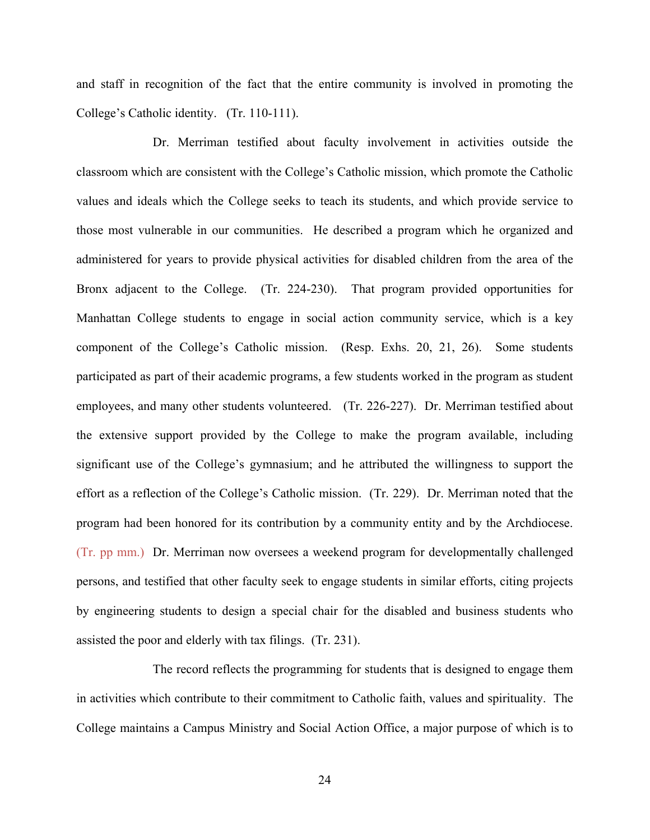and staff in recognition of the fact that the entire community is involved in promoting the College's Catholic identity. (Tr. 110-111).

Dr. Merriman testified about faculty involvement in activities outside the classroom which are consistent with the College's Catholic mission, which promote the Catholic values and ideals which the College seeks to teach its students, and which provide service to those most vulnerable in our communities. He described a program which he organized and administered for years to provide physical activities for disabled children from the area of the Bronx adjacent to the College. (Tr. 224-230). That program provided opportunities for Manhattan College students to engage in social action community service, which is a key component of the College's Catholic mission. (Resp. Exhs. 20, 21, 26). Some students participated as part of their academic programs, a few students worked in the program as student employees, and many other students volunteered. (Tr. 226-227). Dr. Merriman testified about the extensive support provided by the College to make the program available, including significant use of the College's gymnasium; and he attributed the willingness to support the effort as a reflection of the College's Catholic mission. (Tr. 229). Dr. Merriman noted that the program had been honored for its contribution by a community entity and by the Archdiocese. (Tr. pp mm.) Dr. Merriman now oversees a weekend program for developmentally challenged persons, and testified that other faculty seek to engage students in similar efforts, citing projects by engineering students to design a special chair for the disabled and business students who assisted the poor and elderly with tax filings. (Tr. 231).

The record reflects the programming for students that is designed to engage them in activities which contribute to their commitment to Catholic faith, values and spirituality. The College maintains a Campus Ministry and Social Action Office, a major purpose of which is to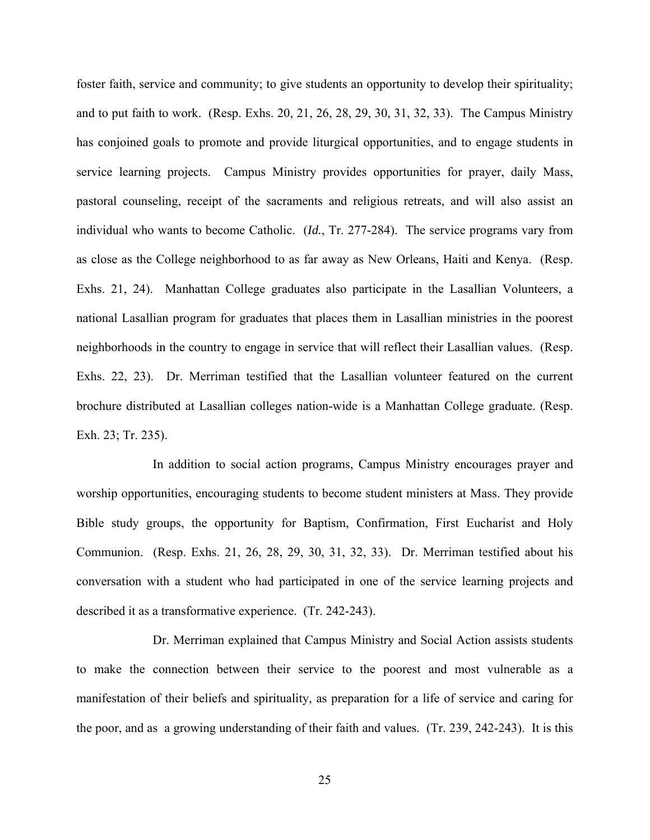foster faith, service and community; to give students an opportunity to develop their spirituality; and to put faith to work. (Resp. Exhs. 20, 21, 26, 28, 29, 30, 31, 32, 33). The Campus Ministry has conjoined goals to promote and provide liturgical opportunities, and to engage students in service learning projects. Campus Ministry provides opportunities for prayer, daily Mass, pastoral counseling, receipt of the sacraments and religious retreats, and will also assist an individual who wants to become Catholic. (*Id.*, Tr. 277-284). The service programs vary from as close as the College neighborhood to as far away as New Orleans, Haiti and Kenya. (Resp. Exhs. 21, 24). Manhattan College graduates also participate in the Lasallian Volunteers, a national Lasallian program for graduates that places them in Lasallian ministries in the poorest neighborhoods in the country to engage in service that will reflect their Lasallian values. (Resp. Exhs. 22, 23). Dr. Merriman testified that the Lasallian volunteer featured on the current brochure distributed at Lasallian colleges nation-wide is a Manhattan College graduate. (Resp. Exh. 23; Tr. 235).

In addition to social action programs, Campus Ministry encourages prayer and worship opportunities, encouraging students to become student ministers at Mass. They provide Bible study groups, the opportunity for Baptism, Confirmation, First Eucharist and Holy Communion. (Resp. Exhs. 21, 26, 28, 29, 30, 31, 32, 33). Dr. Merriman testified about his conversation with a student who had participated in one of the service learning projects and described it as a transformative experience. (Tr. 242-243).

Dr. Merriman explained that Campus Ministry and Social Action assists students to make the connection between their service to the poorest and most vulnerable as a manifestation of their beliefs and spirituality, as preparation for a life of service and caring for the poor, and as a growing understanding of their faith and values. (Tr. 239, 242-243). It is this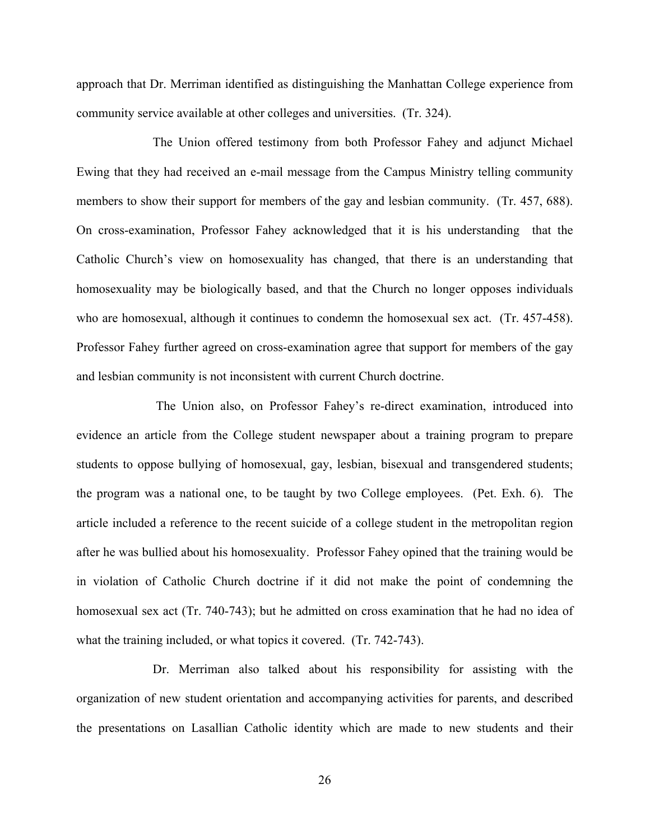approach that Dr. Merriman identified as distinguishing the Manhattan College experience from community service available at other colleges and universities. (Tr. 324).

The Union offered testimony from both Professor Fahey and adjunct Michael Ewing that they had received an e-mail message from the Campus Ministry telling community members to show their support for members of the gay and lesbian community. (Tr. 457, 688). On cross-examination, Professor Fahey acknowledged that it is his understanding that the Catholic Church's view on homosexuality has changed, that there is an understanding that homosexuality may be biologically based, and that the Church no longer opposes individuals who are homosexual, although it continues to condemn the homosexual sex act. (Tr. 457-458). Professor Fahey further agreed on cross-examination agree that support for members of the gay and lesbian community is not inconsistent with current Church doctrine.

 The Union also, on Professor Fahey's re-direct examination, introduced into evidence an article from the College student newspaper about a training program to prepare students to oppose bullying of homosexual, gay, lesbian, bisexual and transgendered students; the program was a national one, to be taught by two College employees. (Pet. Exh. 6). The article included a reference to the recent suicide of a college student in the metropolitan region after he was bullied about his homosexuality. Professor Fahey opined that the training would be in violation of Catholic Church doctrine if it did not make the point of condemning the homosexual sex act (Tr. 740-743); but he admitted on cross examination that he had no idea of what the training included, or what topics it covered. (Tr. 742-743).

Dr. Merriman also talked about his responsibility for assisting with the organization of new student orientation and accompanying activities for parents, and described the presentations on Lasallian Catholic identity which are made to new students and their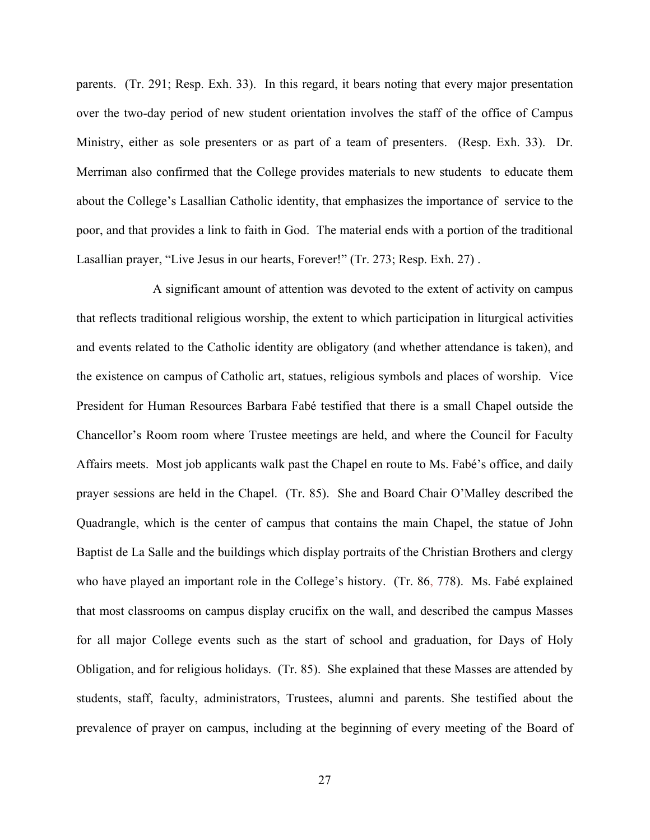parents. (Tr. 291; Resp. Exh. 33). In this regard, it bears noting that every major presentation over the two-day period of new student orientation involves the staff of the office of Campus Ministry, either as sole presenters or as part of a team of presenters. (Resp. Exh. 33). Dr. Merriman also confirmed that the College provides materials to new students to educate them about the College's Lasallian Catholic identity, that emphasizes the importance of service to the poor, and that provides a link to faith in God. The material ends with a portion of the traditional Lasallian prayer, "Live Jesus in our hearts, Forever!" (Tr. 273; Resp. Exh. 27) .

A significant amount of attention was devoted to the extent of activity on campus that reflects traditional religious worship, the extent to which participation in liturgical activities and events related to the Catholic identity are obligatory (and whether attendance is taken), and the existence on campus of Catholic art, statues, religious symbols and places of worship. Vice President for Human Resources Barbara Fabé testified that there is a small Chapel outside the Chancellor's Room room where Trustee meetings are held, and where the Council for Faculty Affairs meets. Most job applicants walk past the Chapel en route to Ms. Fabé's office, and daily prayer sessions are held in the Chapel. (Tr. 85). She and Board Chair O'Malley described the Quadrangle, which is the center of campus that contains the main Chapel, the statue of John Baptist de La Salle and the buildings which display portraits of the Christian Brothers and clergy who have played an important role in the College's history. (Tr. 86, 778). Ms. Fabé explained that most classrooms on campus display crucifix on the wall, and described the campus Masses for all major College events such as the start of school and graduation, for Days of Holy Obligation, and for religious holidays. (Tr. 85). She explained that these Masses are attended by students, staff, faculty, administrators, Trustees, alumni and parents. She testified about the prevalence of prayer on campus, including at the beginning of every meeting of the Board of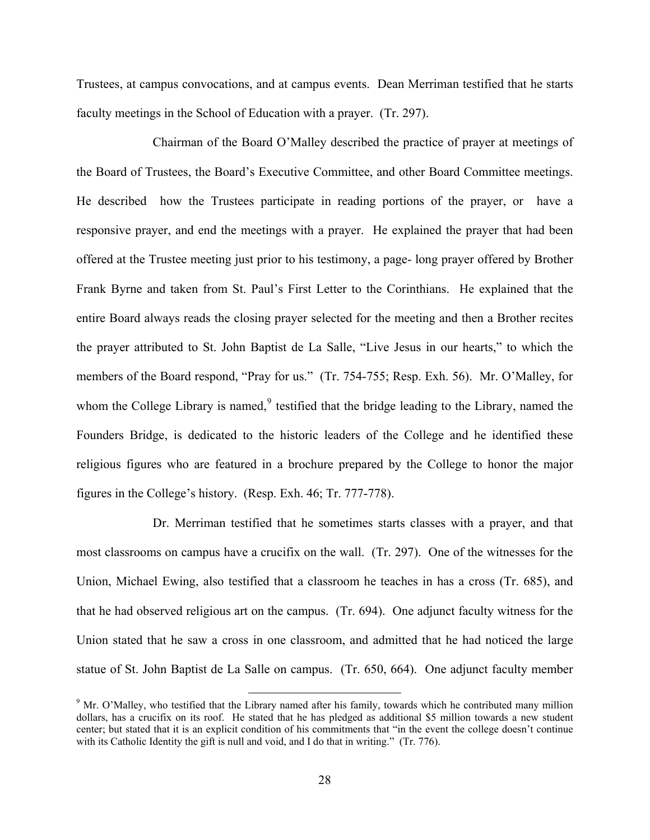Trustees, at campus convocations, and at campus events. Dean Merriman testified that he starts faculty meetings in the School of Education with a prayer. (Tr. 297).

Chairman of the Board O'Malley described the practice of prayer at meetings of the Board of Trustees, the Board's Executive Committee, and other Board Committee meetings. He described how the Trustees participate in reading portions of the prayer, or have a responsive prayer, and end the meetings with a prayer. He explained the prayer that had been offered at the Trustee meeting just prior to his testimony, a page- long prayer offered by Brother Frank Byrne and taken from St. Paul's First Letter to the Corinthians. He explained that the entire Board always reads the closing prayer selected for the meeting and then a Brother recites the prayer attributed to St. John Baptist de La Salle, "Live Jesus in our hearts," to which the members of the Board respond, "Pray for us." (Tr. 754-755; Resp. Exh. 56). Mr. O'Malley, for whom the College Library is named, $9$  testified that the bridge leading to the Library, named the Founders Bridge, is dedicated to the historic leaders of the College and he identified these religious figures who are featured in a brochure prepared by the College to honor the major figures in the College's history. (Resp. Exh. 46; Tr. 777-778).

Dr. Merriman testified that he sometimes starts classes with a prayer, and that most classrooms on campus have a crucifix on the wall. (Tr. 297). One of the witnesses for the Union, Michael Ewing, also testified that a classroom he teaches in has a cross (Tr. 685), and that he had observed religious art on the campus. (Tr. 694). One adjunct faculty witness for the Union stated that he saw a cross in one classroom, and admitted that he had noticed the large statue of St. John Baptist de La Salle on campus. (Tr. 650, 664). One adjunct faculty member

<span id="page-27-0"></span><sup>&</sup>lt;sup>9</sup> Mr. O'Malley, who testified that the Library named after his family, towards which he contributed many million dollars, has a crucifix on its roof. He stated that he has pledged as additional \$5 million towards a new student center; but stated that it is an explicit condition of his commitments that "in the event the college doesn't continue with its Catholic Identity the gift is null and void, and I do that in writing." (Tr. 776).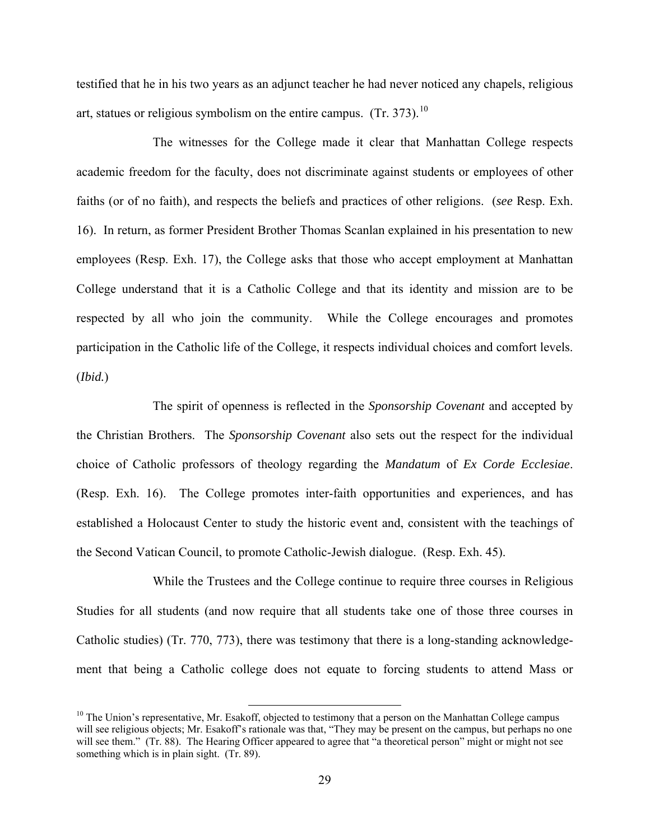testified that he in his two years as an adjunct teacher he had never noticed any chapels, religious art, statues or religious symbolism on the entire campus.  $(Tr. 373).$ <sup>[10](#page-28-0)</sup>

The witnesses for the College made it clear that Manhattan College respects academic freedom for the faculty, does not discriminate against students or employees of other faiths (or of no faith), and respects the beliefs and practices of other religions. (*see* Resp. Exh. 16). In return, as former President Brother Thomas Scanlan explained in his presentation to new employees (Resp. Exh. 17), the College asks that those who accept employment at Manhattan College understand that it is a Catholic College and that its identity and mission are to be respected by all who join the community. While the College encourages and promotes participation in the Catholic life of the College, it respects individual choices and comfort levels. (*Ibid.*)

The spirit of openness is reflected in the *Sponsorship Covenant* and accepted by the Christian Brothers. The *Sponsorship Covenant* also sets out the respect for the individual choice of Catholic professors of theology regarding the *Mandatum* of *Ex Corde Ecclesiae*. (Resp. Exh. 16). The College promotes inter-faith opportunities and experiences, and has established a Holocaust Center to study the historic event and, consistent with the teachings of the Second Vatican Council, to promote Catholic-Jewish dialogue. (Resp. Exh. 45).

While the Trustees and the College continue to require three courses in Religious Studies for all students (and now require that all students take one of those three courses in Catholic studies) (Tr. 770, 773), there was testimony that there is a long-standing acknowledgement that being a Catholic college does not equate to forcing students to attend Mass or

<span id="page-28-0"></span> $10$  The Union's representative, Mr. Esakoff, objected to testimony that a person on the Manhattan College campus will see religious objects; Mr. Esakoff's rationale was that, "They may be present on the campus, but perhaps no one will see them." (Tr. 88). The Hearing Officer appeared to agree that "a theoretical person" might or might not see something which is in plain sight. (Tr. 89).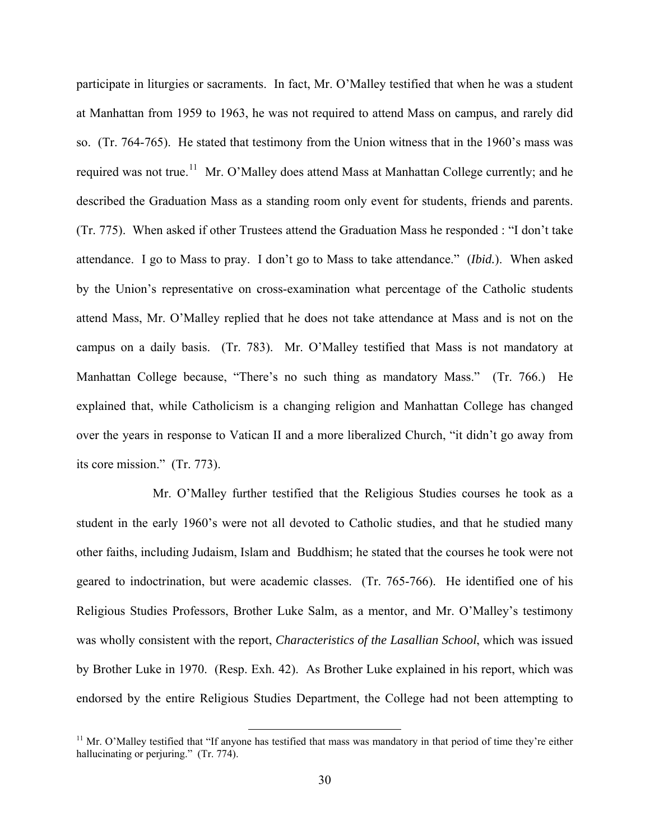participate in liturgies or sacraments. In fact, Mr. O'Malley testified that when he was a student at Manhattan from 1959 to 1963, he was not required to attend Mass on campus, and rarely did so. (Tr. 764-765). He stated that testimony from the Union witness that in the 1960's mass was required was not true.<sup>[11](#page-29-0)</sup> Mr. O'Malley does attend Mass at Manhattan College currently; and he described the Graduation Mass as a standing room only event for students, friends and parents. (Tr. 775). When asked if other Trustees attend the Graduation Mass he responded : "I don't take attendance. I go to Mass to pray. I don't go to Mass to take attendance." (*Ibid.*). When asked by the Union's representative on cross-examination what percentage of the Catholic students attend Mass, Mr. O'Malley replied that he does not take attendance at Mass and is not on the campus on a daily basis. (Tr. 783). Mr. O'Malley testified that Mass is not mandatory at Manhattan College because, "There's no such thing as mandatory Mass." (Tr. 766.) He explained that, while Catholicism is a changing religion and Manhattan College has changed over the years in response to Vatican II and a more liberalized Church, "it didn't go away from its core mission." (Tr. 773).

Mr. O'Malley further testified that the Religious Studies courses he took as a student in the early 1960's were not all devoted to Catholic studies, and that he studied many other faiths, including Judaism, Islam and Buddhism; he stated that the courses he took were not geared to indoctrination, but were academic classes. (Tr. 765-766). He identified one of his Religious Studies Professors, Brother Luke Salm, as a mentor, and Mr. O'Malley's testimony was wholly consistent with the report, *Characteristics of the Lasallian School*, which was issued by Brother Luke in 1970. (Resp. Exh. 42). As Brother Luke explained in his report, which was endorsed by the entire Religious Studies Department, the College had not been attempting to

<span id="page-29-0"></span><sup>&</sup>lt;sup>11</sup> Mr. O'Malley testified that "If anyone has testified that mass was mandatory in that period of time they're either hallucinating or perjuring." (Tr. 774).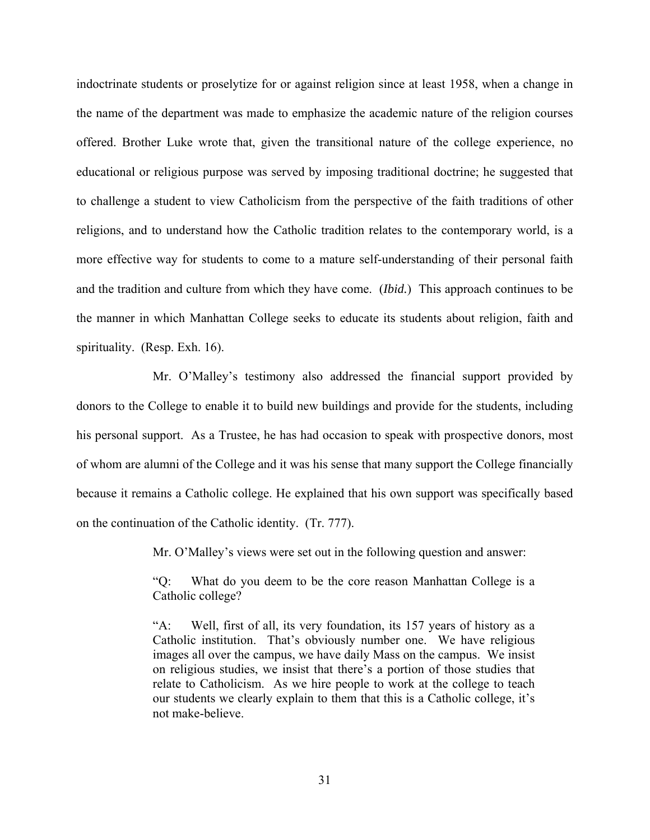indoctrinate students or proselytize for or against religion since at least 1958, when a change in the name of the department was made to emphasize the academic nature of the religion courses offered. Brother Luke wrote that, given the transitional nature of the college experience, no educational or religious purpose was served by imposing traditional doctrine; he suggested that to challenge a student to view Catholicism from the perspective of the faith traditions of other religions, and to understand how the Catholic tradition relates to the contemporary world, is a more effective way for students to come to a mature self-understanding of their personal faith and the tradition and culture from which they have come. (*Ibid.*) This approach continues to be the manner in which Manhattan College seeks to educate its students about religion, faith and spirituality. (Resp. Exh. 16).

Mr. O'Malley's testimony also addressed the financial support provided by donors to the College to enable it to build new buildings and provide for the students, including his personal support. As a Trustee, he has had occasion to speak with prospective donors, most of whom are alumni of the College and it was his sense that many support the College financially because it remains a Catholic college. He explained that his own support was specifically based on the continuation of the Catholic identity. (Tr. 777).

Mr. O'Malley's views were set out in the following question and answer:

"Q: What do you deem to be the core reason Manhattan College is a Catholic college?

"A: Well, first of all, its very foundation, its 157 years of history as a Catholic institution. That's obviously number one. We have religious images all over the campus, we have daily Mass on the campus. We insist on religious studies, we insist that there's a portion of those studies that relate to Catholicism. As we hire people to work at the college to teach our students we clearly explain to them that this is a Catholic college, it's not make-believe.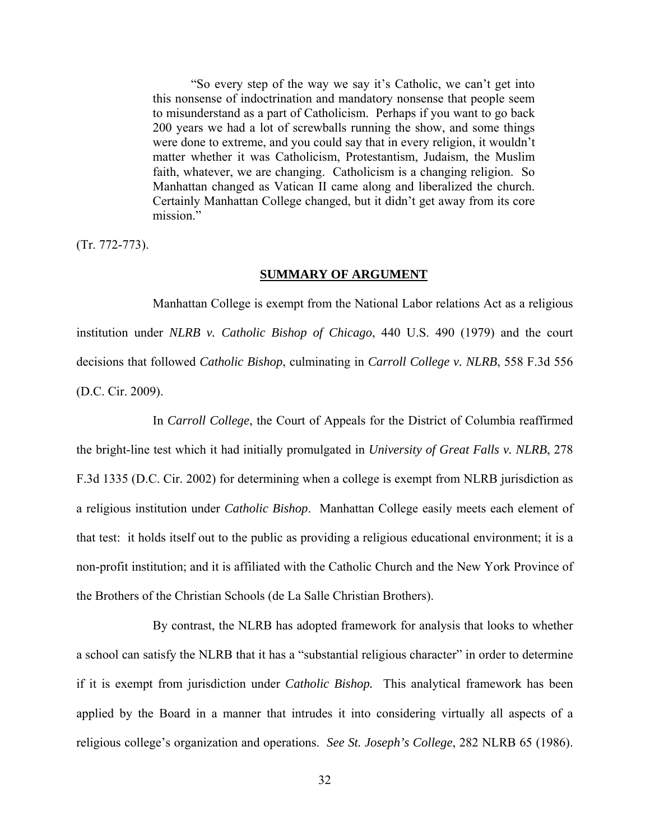"So every step of the way we say it's Catholic, we can't get into this nonsense of indoctrination and mandatory nonsense that people seem to misunderstand as a part of Catholicism. Perhaps if you want to go back 200 years we had a lot of screwballs running the show, and some things were done to extreme, and you could say that in every religion, it wouldn't matter whether it was Catholicism, Protestantism, Judaism, the Muslim faith, whatever, we are changing. Catholicism is a changing religion. So Manhattan changed as Vatican II came along and liberalized the church. Certainly Manhattan College changed, but it didn't get away from its core mission."

(Tr. 772-773).

### **SUMMARY OF ARGUMENT**

 Manhattan College is exempt from the National Labor relations Act as a religious institution under *NLRB v. Catholic Bishop of Chicago*, 440 U.S. 490 (1979) and the court decisions that followed *Catholic Bishop*, culminating in *Carroll College v. NLRB*, 558 F.3d 556 (D.C. Cir. 2009).

 In *Carroll College*, the Court of Appeals for the District of Columbia reaffirmed the bright-line test which it had initially promulgated in *University of Great Falls v. NLRB*, 278 F.3d 1335 (D.C. Cir. 2002) for determining when a college is exempt from NLRB jurisdiction as a religious institution under *Catholic Bishop*. Manhattan College easily meets each element of that test: it holds itself out to the public as providing a religious educational environment; it is a non-profit institution; and it is affiliated with the Catholic Church and the New York Province of the Brothers of the Christian Schools (de La Salle Christian Brothers).

By contrast, the NLRB has adopted framework for analysis that looks to whether a school can satisfy the NLRB that it has a "substantial religious character" in order to determine if it is exempt from jurisdiction under *Catholic Bishop.* This analytical framework has been applied by the Board in a manner that intrudes it into considering virtually all aspects of a religious college's organization and operations. *See St. Joseph's College*, 282 NLRB 65 (1986).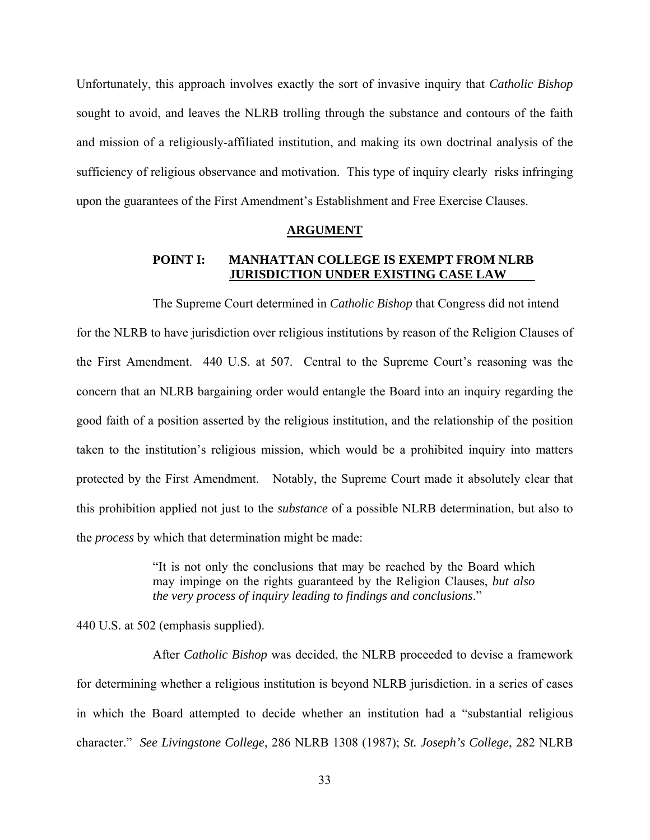Unfortunately, this approach involves exactly the sort of invasive inquiry that *Catholic Bishop* sought to avoid, and leaves the NLRB trolling through the substance and contours of the faith and mission of a religiously-affiliated institution, and making its own doctrinal analysis of the sufficiency of religious observance and motivation. This type of inquiry clearly risks infringing upon the guarantees of the First Amendment's Establishment and Free Exercise Clauses.

#### **ARGUMENT**

### **POINT I: MANHATTAN COLLEGE IS EXEMPT FROM NLRB JURISDICTION UNDER EXISTING CASE LAW**

The Supreme Court determined in *Catholic Bishop* that Congress did not intend for the NLRB to have jurisdiction over religious institutions by reason of the Religion Clauses of the First Amendment. 440 U.S. at 507. Central to the Supreme Court's reasoning was the concern that an NLRB bargaining order would entangle the Board into an inquiry regarding the good faith of a position asserted by the religious institution, and the relationship of the position taken to the institution's religious mission, which would be a prohibited inquiry into matters protected by the First Amendment. Notably, the Supreme Court made it absolutely clear that this prohibition applied not just to the *substance* of a possible NLRB determination, but also to the *process* by which that determination might be made:

> "It is not only the conclusions that may be reached by the Board which may impinge on the rights guaranteed by the Religion Clauses, *but also the very process of inquiry leading to findings and conclusions*."

440 U.S. at 502 (emphasis supplied).

 After *Catholic Bishop* was decided, the NLRB proceeded to devise a framework for determining whether a religious institution is beyond NLRB jurisdiction. in a series of cases in which the Board attempted to decide whether an institution had a "substantial religious character." *See Livingstone College*, 286 NLRB 1308 (1987); *St. Joseph's College*, 282 NLRB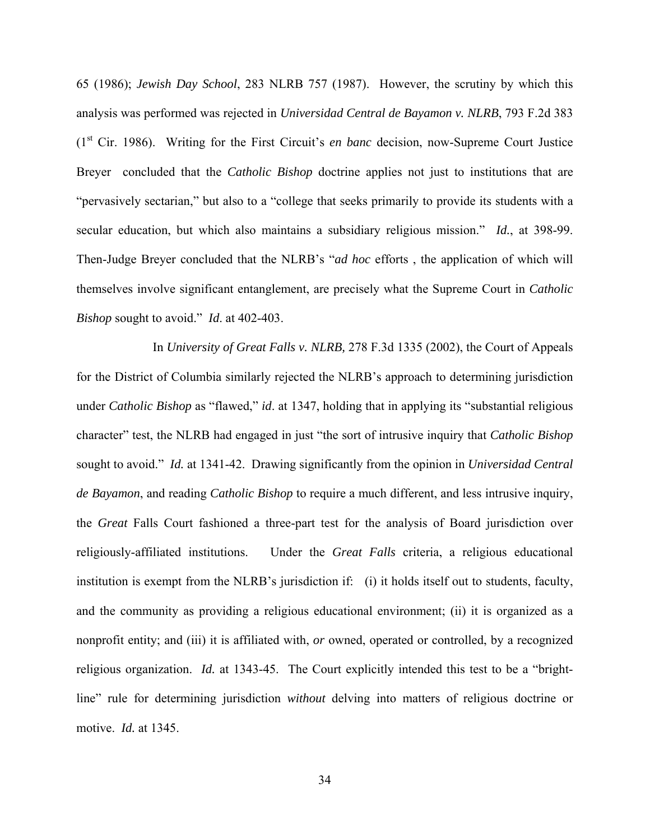65 (1986); *Jewish Day School*, 283 NLRB 757 (1987). However, the scrutiny by which this analysis was performed was rejected in *Universidad Central de Bayamon v. NLRB*, 793 F.2d 383 (1st Cir. 1986). Writing for the First Circuit's *en banc* decision, now-Supreme Court Justice Breyer concluded that the *Catholic Bishop* doctrine applies not just to institutions that are "pervasively sectarian," but also to a "college that seeks primarily to provide its students with a secular education, but which also maintains a subsidiary religious mission." *Id.*, at 398-99. Then-Judge Breyer concluded that the NLRB's "*ad hoc* efforts , the application of which will themselves involve significant entanglement, are precisely what the Supreme Court in *Catholic Bishop* sought to avoid." *Id*. at 402-403.

 In *University of Great Falls v. NLRB,* 278 F.3d 1335 (2002), the Court of Appeals for the District of Columbia similarly rejected the NLRB's approach to determining jurisdiction under *Catholic Bishop* as "flawed," *id*. at 1347, holding that in applying its "substantial religious character" test, the NLRB had engaged in just "the sort of intrusive inquiry that *Catholic Bishop*  sought to avoid." *Id.* at 1341-42. Drawing significantly from the opinion in *Universidad Central de Bayamon*, and reading *Catholic Bishop* to require a much different, and less intrusive inquiry, the *Great* Falls Court fashioned a three-part test for the analysis of Board jurisdiction over religiously-affiliated institutions. Under the *Great Falls* criteria, a religious educational institution is exempt from the NLRB's jurisdiction if: (i) it holds itself out to students, faculty, and the community as providing a religious educational environment; (ii) it is organized as a nonprofit entity; and (iii) it is affiliated with, *or* owned, operated or controlled, by a recognized religious organization. *Id.* at 1343-45. The Court explicitly intended this test to be a "brightline" rule for determining jurisdiction *without* delving into matters of religious doctrine or motive. *Id.* at 1345.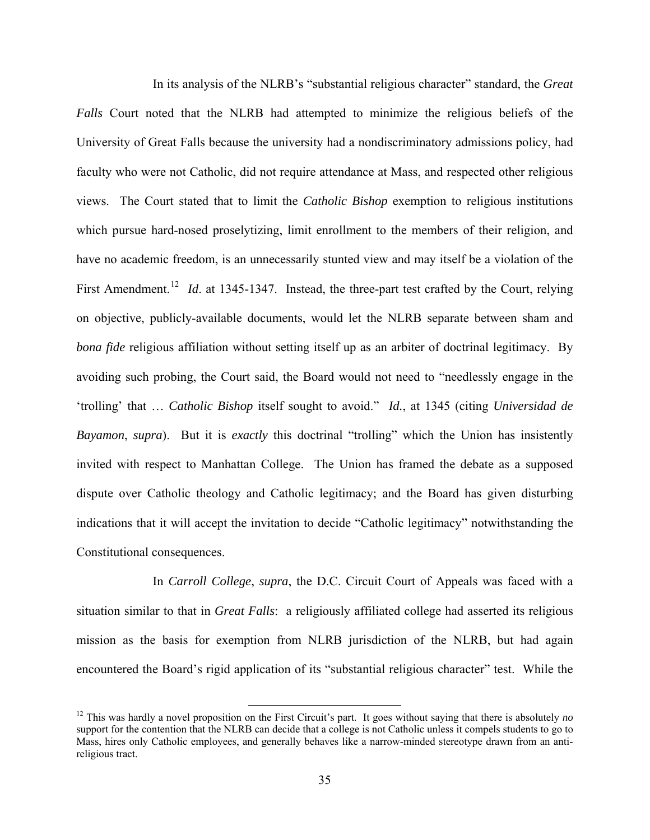In its analysis of the NLRB's "substantial religious character" standard, the *Great Falls* Court noted that the NLRB had attempted to minimize the religious beliefs of the University of Great Falls because the university had a nondiscriminatory admissions policy, had faculty who were not Catholic, did not require attendance at Mass, and respected other religious views. The Court stated that to limit the *Catholic Bishop* exemption to religious institutions which pursue hard-nosed proselytizing, limit enrollment to the members of their religion, and have no academic freedom, is an unnecessarily stunted view and may itself be a violation of the First Amendment.<sup>[12](#page-34-0)</sup> *Id.* at 1345-1347. Instead, the three-part test crafted by the Court, relying on objective, publicly-available documents, would let the NLRB separate between sham and *bona fide* religious affiliation without setting itself up as an arbiter of doctrinal legitimacy. By avoiding such probing, the Court said, the Board would not need to "needlessly engage in the 'trolling' that … *Catholic Bishop* itself sought to avoid." *Id.*, at 1345 (citing *Universidad de Bayamon*, *supra*). But it is *exactly* this doctrinal "trolling" which the Union has insistently invited with respect to Manhattan College. The Union has framed the debate as a supposed dispute over Catholic theology and Catholic legitimacy; and the Board has given disturbing indications that it will accept the invitation to decide "Catholic legitimacy" notwithstanding the Constitutional consequences.

 In *Carroll College*, *supra*, the D.C. Circuit Court of Appeals was faced with a situation similar to that in *Great Falls*: a religiously affiliated college had asserted its religious mission as the basis for exemption from NLRB jurisdiction of the NLRB, but had again encountered the Board's rigid application of its "substantial religious character" test. While the

<span id="page-34-0"></span><sup>&</sup>lt;sup>12</sup> This was hardly a novel proposition on the First Circuit's part. It goes without saying that there is absolutely  $no$ support for the contention that the NLRB can decide that a college is not Catholic unless it compels students to go to Mass, hires only Catholic employees, and generally behaves like a narrow-minded stereotype drawn from an antireligious tract.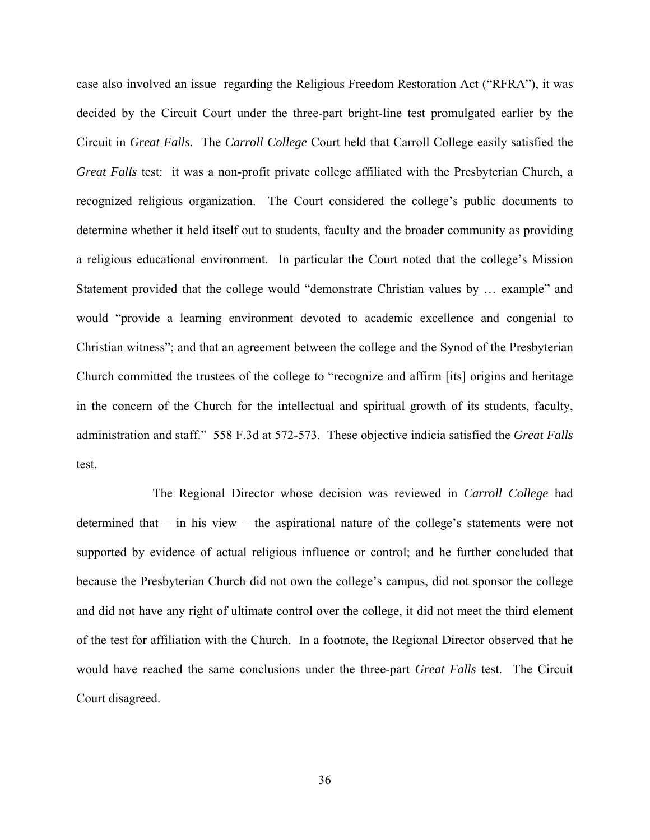case also involved an issue regarding the Religious Freedom Restoration Act ("RFRA"), it was decided by the Circuit Court under the three-part bright-line test promulgated earlier by the Circuit in *Great Falls.* The *Carroll College* Court held that Carroll College easily satisfied the *Great Falls* test: it was a non-profit private college affiliated with the Presbyterian Church, a recognized religious organization. The Court considered the college's public documents to determine whether it held itself out to students, faculty and the broader community as providing a religious educational environment. In particular the Court noted that the college's Mission Statement provided that the college would "demonstrate Christian values by … example" and would "provide a learning environment devoted to academic excellence and congenial to Christian witness"; and that an agreement between the college and the Synod of the Presbyterian Church committed the trustees of the college to "recognize and affirm [its] origins and heritage in the concern of the Church for the intellectual and spiritual growth of its students, faculty, administration and staff." 558 F.3d at 572-573. These objective indicia satisfied the *Great Falls* test.

The Regional Director whose decision was reviewed in *Carroll College* had determined that – in his view – the aspirational nature of the college's statements were not supported by evidence of actual religious influence or control; and he further concluded that because the Presbyterian Church did not own the college's campus, did not sponsor the college and did not have any right of ultimate control over the college, it did not meet the third element of the test for affiliation with the Church. In a footnote, the Regional Director observed that he would have reached the same conclusions under the three-part *Great Falls* test. The Circuit Court disagreed.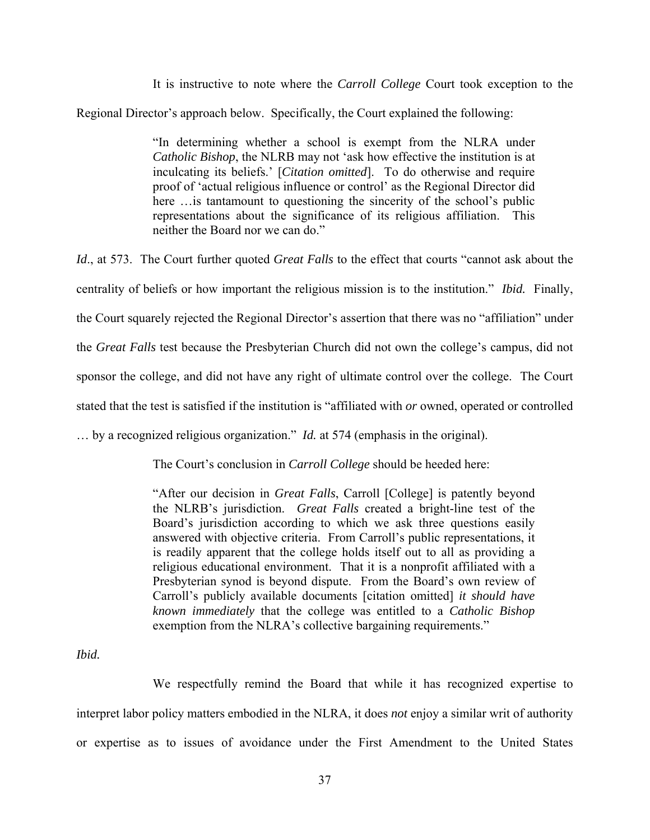It is instructive to note where the *Carroll College* Court took exception to the Regional Director's approach below. Specifically, the Court explained the following:

> "In determining whether a school is exempt from the NLRA under *Catholic Bishop*, the NLRB may not 'ask how effective the institution is at inculcating its beliefs.' [*Citation omitted*]. To do otherwise and require proof of 'actual religious influence or control' as the Regional Director did here ... is tantamount to questioning the sincerity of the school's public representations about the significance of its religious affiliation. This neither the Board nor we can do."

*Id*., at 573. The Court further quoted *Great Falls* to the effect that courts "cannot ask about the centrality of beliefs or how important the religious mission is to the institution." *Ibid.* Finally, the Court squarely rejected the Regional Director's assertion that there was no "affiliation" under the *Great Falls* test because the Presbyterian Church did not own the college's campus, did not sponsor the college, and did not have any right of ultimate control over the college. The Court stated that the test is satisfied if the institution is "affiliated with *or* owned, operated or controlled … by a recognized religious organization." *Id.* at 574 (emphasis in the original).

The Court's conclusion in *Carroll College* should be heeded here:

"After our decision in *Great Falls*, Carroll [College] is patently beyond the NLRB's jurisdiction. *Great Falls* created a bright-line test of the Board's jurisdiction according to which we ask three questions easily answered with objective criteria. From Carroll's public representations, it is readily apparent that the college holds itself out to all as providing a religious educational environment. That it is a nonprofit affiliated with a Presbyterian synod is beyond dispute. From the Board's own review of Carroll's publicly available documents [citation omitted] *it should have known immediately* that the college was entitled to a *Catholic Bishop* exemption from the NLRA's collective bargaining requirements."

*Ibid.* 

We respectfully remind the Board that while it has recognized expertise to interpret labor policy matters embodied in the NLRA, it does *not* enjoy a similar writ of authority or expertise as to issues of avoidance under the First Amendment to the United States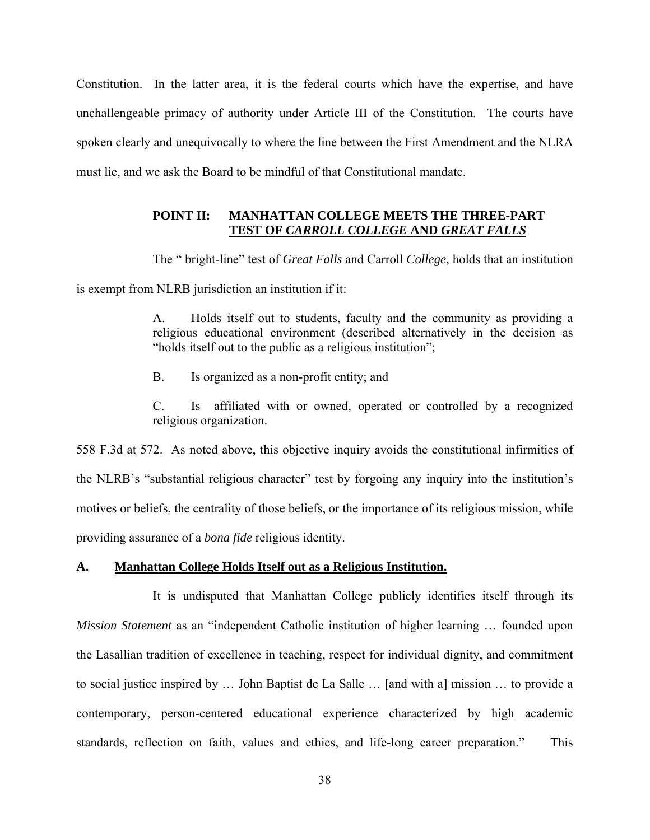Constitution. In the latter area, it is the federal courts which have the expertise, and have unchallengeable primacy of authority under Article III of the Constitution. The courts have spoken clearly and unequivocally to where the line between the First Amendment and the NLRA must lie, and we ask the Board to be mindful of that Constitutional mandate.

# **POINT II: MANHATTAN COLLEGE MEETS THE THREE-PART TEST OF** *CARROLL COLLEGE* **AND** *GREAT FALLS*

The " bright-line" test of *Great Falls* and Carroll *College*, holds that an institution is exempt from NLRB jurisdiction an institution if it:

> A. Holds itself out to students, faculty and the community as providing a religious educational environment (described alternatively in the decision as "holds itself out to the public as a religious institution";

B. Is organized as a non-profit entity; and

C. Is affiliated with or owned, operated or controlled by a recognized religious organization.

558 F.3d at 572. As noted above, this objective inquiry avoids the constitutional infirmities of the NLRB's "substantial religious character" test by forgoing any inquiry into the institution's motives or beliefs, the centrality of those beliefs, or the importance of its religious mission, while providing assurance of a *bona fide* religious identity.

## **A. Manhattan College Holds Itself out as a Religious Institution.**

It is undisputed that Manhattan College publicly identifies itself through its *Mission Statement* as an "independent Catholic institution of higher learning … founded upon the Lasallian tradition of excellence in teaching, respect for individual dignity, and commitment to social justice inspired by … John Baptist de La Salle … [and with a] mission … to provide a contemporary, person-centered educational experience characterized by high academic standards, reflection on faith, values and ethics, and life-long career preparation." This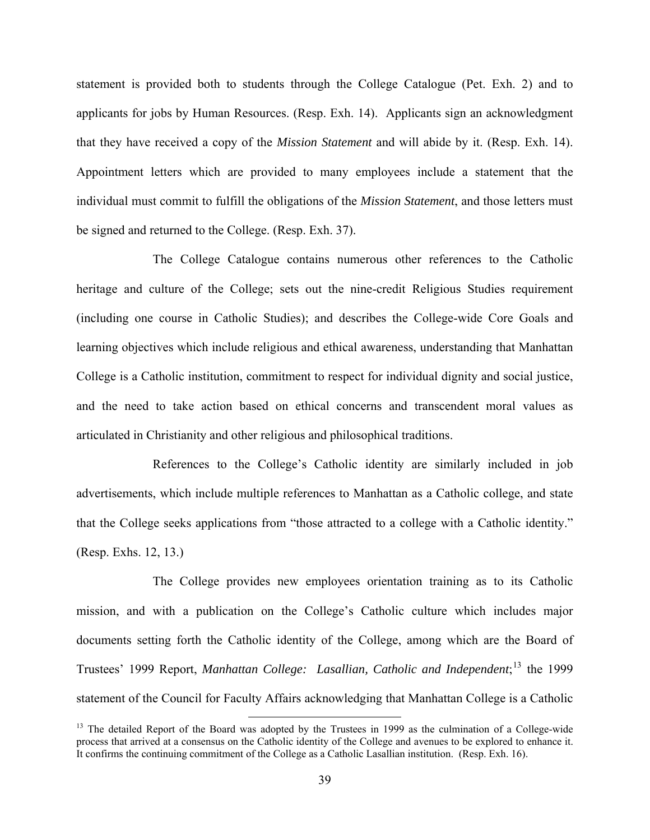statement is provided both to students through the College Catalogue (Pet. Exh. 2) and to applicants for jobs by Human Resources. (Resp. Exh. 14). Applicants sign an acknowledgment that they have received a copy of the *Mission Statement* and will abide by it. (Resp. Exh. 14). Appointment letters which are provided to many employees include a statement that the individual must commit to fulfill the obligations of the *Mission Statement*, and those letters must be signed and returned to the College. (Resp. Exh. 37).

The College Catalogue contains numerous other references to the Catholic heritage and culture of the College; sets out the nine-credit Religious Studies requirement (including one course in Catholic Studies); and describes the College-wide Core Goals and learning objectives which include religious and ethical awareness, understanding that Manhattan College is a Catholic institution, commitment to respect for individual dignity and social justice, and the need to take action based on ethical concerns and transcendent moral values as articulated in Christianity and other religious and philosophical traditions.

References to the College's Catholic identity are similarly included in job advertisements, which include multiple references to Manhattan as a Catholic college, and state that the College seeks applications from "those attracted to a college with a Catholic identity." (Resp. Exhs. 12, 13.)

 The College provides new employees orientation training as to its Catholic mission, and with a publication on the College's Catholic culture which includes major documents setting forth the Catholic identity of the College, among which are the Board of Trustees' 1999 Report, *Manhattan College: Lasallian, Catholic and Independent*;<sup>[13](#page-38-0)</sup> the 1999 statement of the Council for Faculty Affairs acknowledging that Manhattan College is a Catholic

<span id="page-38-0"></span><sup>&</sup>lt;sup>13</sup> The detailed Report of the Board was adopted by the Trustees in 1999 as the culmination of a College-wide process that arrived at a consensus on the Catholic identity of the College and avenues to be explored to enhance it. It confirms the continuing commitment of the College as a Catholic Lasallian institution. (Resp. Exh. 16).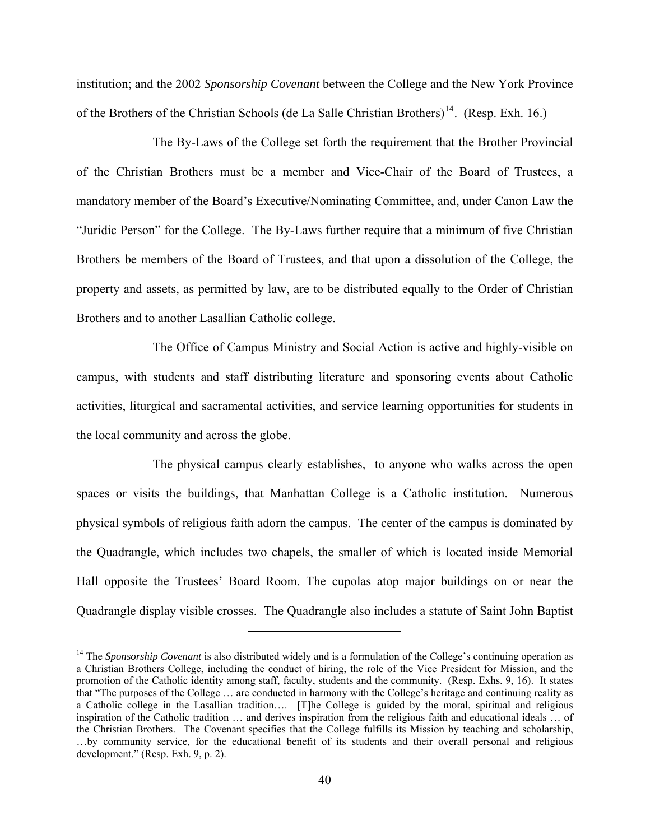institution; and the 2002 *Sponsorship Covenant* between the College and the New York Province of the Brothers of the Christian Schools (de La Salle Christian Brothers)<sup>14</sup>. (Resp. Exh. 16.)

 The By-Laws of the College set forth the requirement that the Brother Provincial of the Christian Brothers must be a member and Vice-Chair of the Board of Trustees, a mandatory member of the Board's Executive/Nominating Committee, and, under Canon Law the "Juridic Person" for the College. The By-Laws further require that a minimum of five Christian Brothers be members of the Board of Trustees, and that upon a dissolution of the College, the property and assets, as permitted by law, are to be distributed equally to the Order of Christian Brothers and to another Lasallian Catholic college.

The Office of Campus Ministry and Social Action is active and highly-visible on campus, with students and staff distributing literature and sponsoring events about Catholic activities, liturgical and sacramental activities, and service learning opportunities for students in the local community and across the globe.

The physical campus clearly establishes, to anyone who walks across the open spaces or visits the buildings, that Manhattan College is a Catholic institution. Numerous physical symbols of religious faith adorn the campus. The center of the campus is dominated by the Quadrangle, which includes two chapels, the smaller of which is located inside Memorial Hall opposite the Trustees' Board Room. The cupolas atop major buildings on or near the Quadrangle display visible crosses. The Quadrangle also includes a statute of Saint John Baptist

 $\overline{a}$ 

<span id="page-39-0"></span><sup>&</sup>lt;sup>14</sup> The *Sponsorship Covenant* is also distributed widely and is a formulation of the College's continuing operation as a Christian Brothers College, including the conduct of hiring, the role of the Vice President for Mission, and the promotion of the Catholic identity among staff, faculty, students and the community. (Resp. Exhs. 9, 16). It states that "The purposes of the College … are conducted in harmony with the College's heritage and continuing reality as a Catholic college in the Lasallian tradition…. [T]he College is guided by the moral, spiritual and religious inspiration of the Catholic tradition … and derives inspiration from the religious faith and educational ideals … of the Christian Brothers. The Covenant specifies that the College fulfills its Mission by teaching and scholarship, …by community service, for the educational benefit of its students and their overall personal and religious development." (Resp. Exh. 9, p. 2).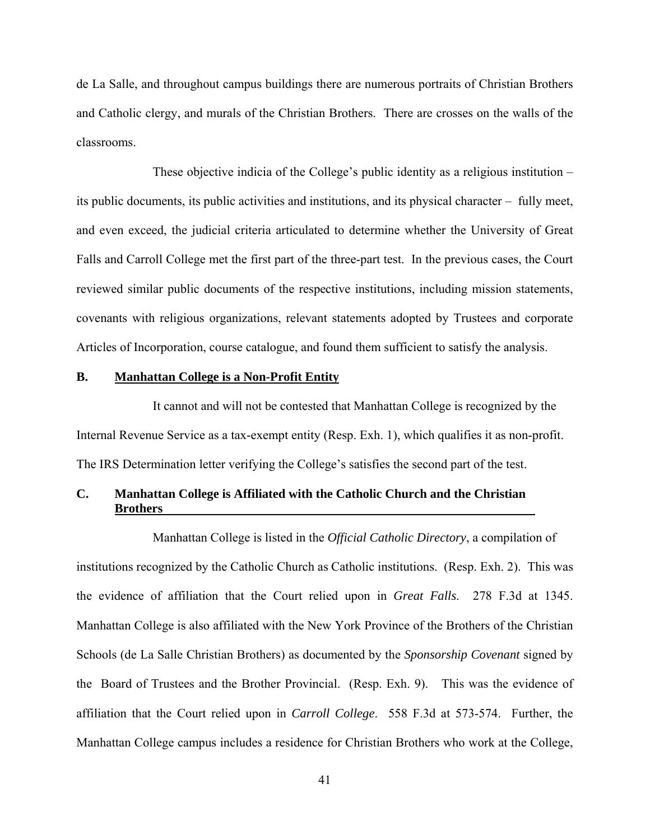de La Salle, and throughout campus buildings there are numerous portraits of Christian Brothers and Catholic clergy, and murals of the Christian Brothers. There are crosses on the walls of the classrooms.

These objective indicia of the College's public identity as a religious institution – its public documents, its public activities and institutions, and its physical character – fully meet, and even exceed, the judicial criteria articulated to determine whether the University of Great Falls and Carroll College met the first part of the three-part test. In the previous cases, the Court reviewed similar public documents of the respective institutions, including mission statements, covenants with religious organizations, relevant statements adopted by Trustees and corporate Articles of Incorporation, course catalogue, and found them sufficient to satisfy the analysis.

#### **B. Manhattan College is a Non-Profit Entity**

It cannot and will not be contested that Manhattan College is recognized by the Internal Revenue Service as a tax-exempt entity (Resp. Exh. 1), which qualifies it as non-profit. The IRS Determination letter verifying the College's satisfies the second part of the test.

# **C. Manhattan College is Affiliated with the Catholic Church and the Christian Brothers**

Manhattan College is listed in the *Official Catholic Directory*, a compilation of institutions recognized by the Catholic Church as Catholic institutions. (Resp. Exh. 2). This was the evidence of affiliation that the Court relied upon in *Great Falls*. 278 F.3d at 1345. Manhattan College is also affiliated with the New York Province of the Brothers of the Christian Schools (de La Salle Christian Brothers) as documented by the *Sponsorship Covenant* signed by the Board of Trustees and the Brother Provincial. (Resp. Exh. 9). This was the evidence of affiliation that the Court relied upon in *Carroll College*. 558 F.3d at 573-574. Further, the Manhattan College campus includes a residence for Christian Brothers who work at the College,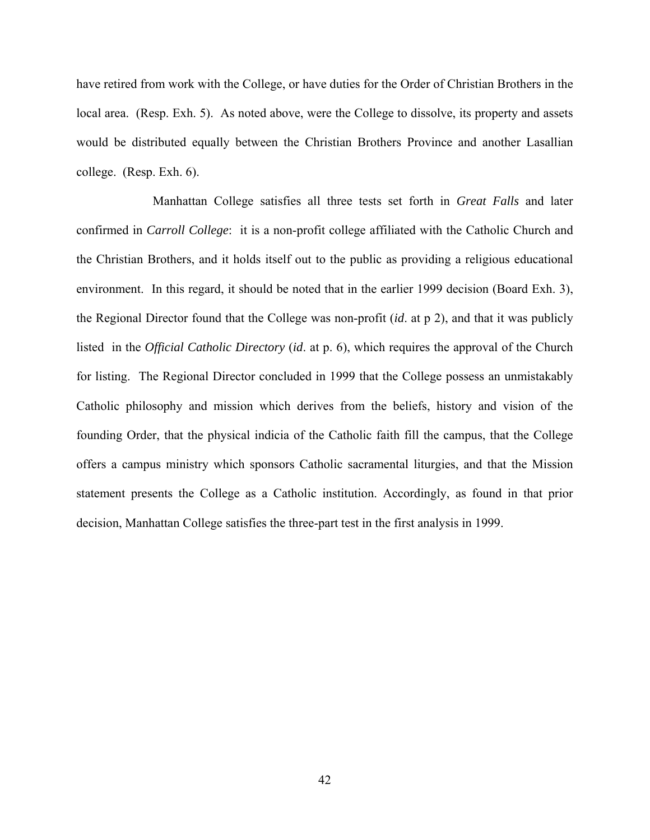have retired from work with the College, or have duties for the Order of Christian Brothers in the local area. (Resp. Exh. 5). As noted above, were the College to dissolve, its property and assets would be distributed equally between the Christian Brothers Province and another Lasallian college. (Resp. Exh. 6).

Manhattan College satisfies all three tests set forth in *Great Falls* and later confirmed in *Carroll College*: it is a non-profit college affiliated with the Catholic Church and the Christian Brothers, and it holds itself out to the public as providing a religious educational environment. In this regard, it should be noted that in the earlier 1999 decision (Board Exh. 3), the Regional Director found that the College was non-profit (*id*. at p 2), and that it was publicly listed in the *Official Catholic Directory* (*id*. at p. 6), which requires the approval of the Church for listing. The Regional Director concluded in 1999 that the College possess an unmistakably Catholic philosophy and mission which derives from the beliefs, history and vision of the founding Order, that the physical indicia of the Catholic faith fill the campus, that the College offers a campus ministry which sponsors Catholic sacramental liturgies, and that the Mission statement presents the College as a Catholic institution. Accordingly, as found in that prior decision, Manhattan College satisfies the three-part test in the first analysis in 1999.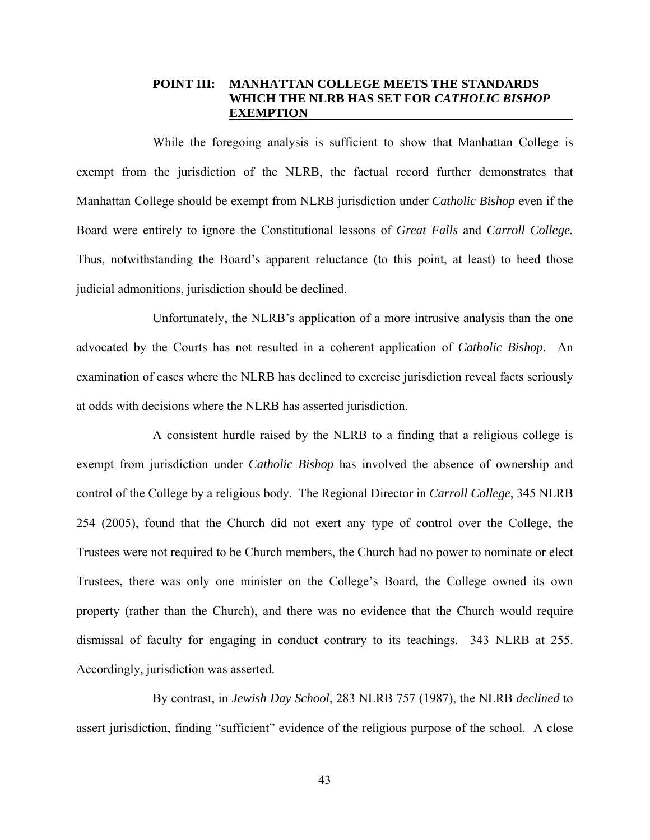### **POINT III: MANHATTAN COLLEGE MEETS THE STANDARDS WHICH THE NLRB HAS SET FOR** *CATHOLIC BISHOP* **EXEMPTION**

While the foregoing analysis is sufficient to show that Manhattan College is exempt from the jurisdiction of the NLRB, the factual record further demonstrates that Manhattan College should be exempt from NLRB jurisdiction under *Catholic Bishop* even if the Board were entirely to ignore the Constitutional lessons of *Great Falls* and *Carroll College.* Thus, notwithstanding the Board's apparent reluctance (to this point, at least) to heed those judicial admonitions, jurisdiction should be declined.

Unfortunately, the NLRB's application of a more intrusive analysis than the one advocated by the Courts has not resulted in a coherent application of *Catholic Bishop*. An examination of cases where the NLRB has declined to exercise jurisdiction reveal facts seriously at odds with decisions where the NLRB has asserted jurisdiction.

A consistent hurdle raised by the NLRB to a finding that a religious college is exempt from jurisdiction under *Catholic Bishop* has involved the absence of ownership and control of the College by a religious body. The Regional Director in *Carroll College*, 345 NLRB 254 (2005), found that the Church did not exert any type of control over the College, the Trustees were not required to be Church members, the Church had no power to nominate or elect Trustees, there was only one minister on the College's Board, the College owned its own property (rather than the Church), and there was no evidence that the Church would require dismissal of faculty for engaging in conduct contrary to its teachings. 343 NLRB at 255. Accordingly, jurisdiction was asserted.

 By contrast, in *Jewish Day School*, 283 NLRB 757 (1987), the NLRB *declined* to assert jurisdiction, finding "sufficient" evidence of the religious purpose of the school. A close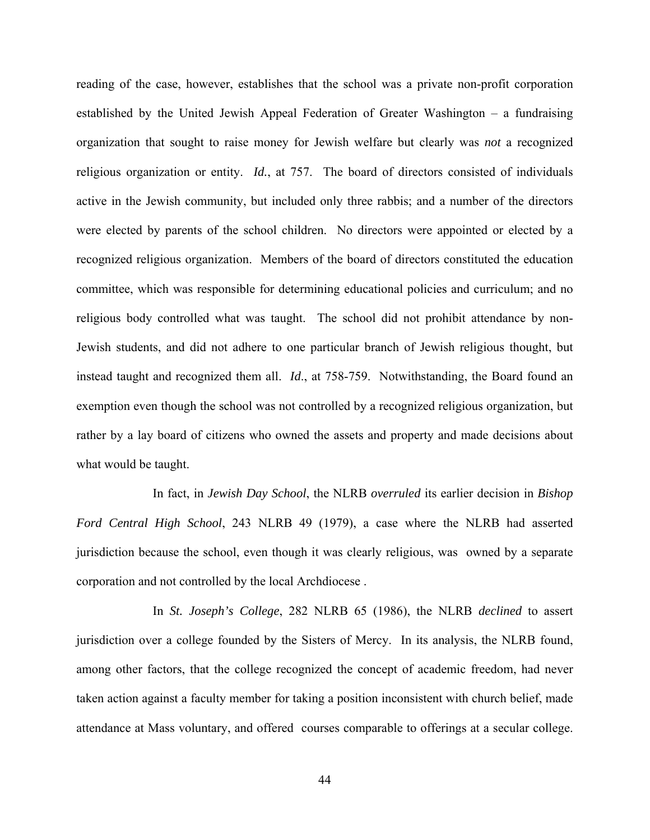reading of the case, however, establishes that the school was a private non-profit corporation established by the United Jewish Appeal Federation of Greater Washington – a fundraising organization that sought to raise money for Jewish welfare but clearly was *not* a recognized religious organization or entity. *Id.*, at 757. The board of directors consisted of individuals active in the Jewish community, but included only three rabbis; and a number of the directors were elected by parents of the school children. No directors were appointed or elected by a recognized religious organization. Members of the board of directors constituted the education committee, which was responsible for determining educational policies and curriculum; and no religious body controlled what was taught. The school did not prohibit attendance by non-Jewish students, and did not adhere to one particular branch of Jewish religious thought, but instead taught and recognized them all. *Id*., at 758-759. Notwithstanding, the Board found an exemption even though the school was not controlled by a recognized religious organization, but rather by a lay board of citizens who owned the assets and property and made decisions about what would be taught.

In fact, in *Jewish Day School*, the NLRB *overruled* its earlier decision in *Bishop Ford Central High School*, 243 NLRB 49 (1979), a case where the NLRB had asserted jurisdiction because the school, even though it was clearly religious, was owned by a separate corporation and not controlled by the local Archdiocese .

In *St. Joseph's College*, 282 NLRB 65 (1986), the NLRB *declined* to assert jurisdiction over a college founded by the Sisters of Mercy. In its analysis, the NLRB found, among other factors, that the college recognized the concept of academic freedom, had never taken action against a faculty member for taking a position inconsistent with church belief, made attendance at Mass voluntary, and offered courses comparable to offerings at a secular college.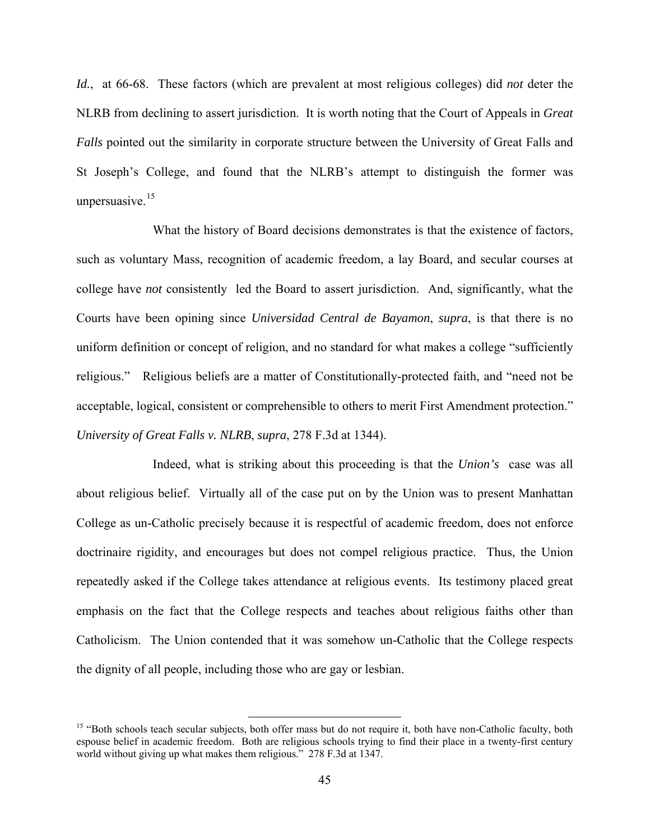*Id.*, at 66-68. These factors (which are prevalent at most religious colleges) did *not* deter the NLRB from declining to assert jurisdiction. It is worth noting that the Court of Appeals in *Great Falls* pointed out the similarity in corporate structure between the University of Great Falls and St Joseph's College, and found that the NLRB's attempt to distinguish the former was unpersuasive. $15$ 

 What the history of Board decisions demonstrates is that the existence of factors, such as voluntary Mass, recognition of academic freedom, a lay Board, and secular courses at college have *not* consistently led the Board to assert jurisdiction. And, significantly, what the Courts have been opining since *Universidad Central de Bayamon*, *supra*, is that there is no uniform definition or concept of religion, and no standard for what makes a college "sufficiently religious." Religious beliefs are a matter of Constitutionally-protected faith, and "need not be acceptable, logical, consistent or comprehensible to others to merit First Amendment protection." *University of Great Falls v. NLRB*, *supra*, 278 F.3d at 1344).

Indeed, what is striking about this proceeding is that the *Union's* case was all about religious belief. Virtually all of the case put on by the Union was to present Manhattan College as un-Catholic precisely because it is respectful of academic freedom, does not enforce doctrinaire rigidity, and encourages but does not compel religious practice. Thus, the Union repeatedly asked if the College takes attendance at religious events. Its testimony placed great emphasis on the fact that the College respects and teaches about religious faiths other than Catholicism. The Union contended that it was somehow un-Catholic that the College respects the dignity of all people, including those who are gay or lesbian.

<span id="page-44-0"></span><sup>&</sup>lt;sup>15</sup> "Both schools teach secular subjects, both offer mass but do not require it, both have non-Catholic faculty, both espouse belief in academic freedom. Both are religious schools trying to find their place in a twenty-first century world without giving up what makes them religious." 278 F.3d at 1347.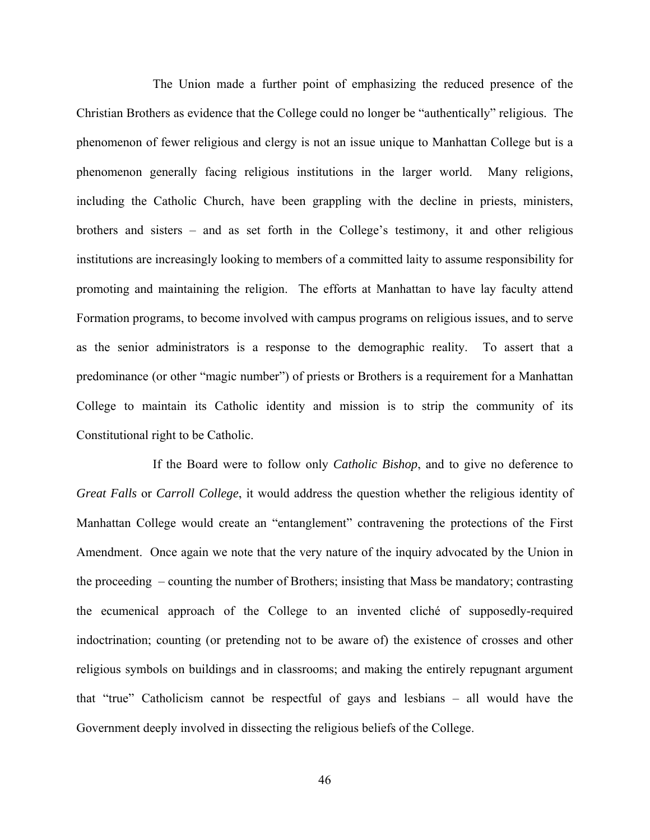The Union made a further point of emphasizing the reduced presence of the Christian Brothers as evidence that the College could no longer be "authentically" religious. The phenomenon of fewer religious and clergy is not an issue unique to Manhattan College but is a phenomenon generally facing religious institutions in the larger world. Many religions, including the Catholic Church, have been grappling with the decline in priests, ministers, brothers and sisters – and as set forth in the College's testimony, it and other religious institutions are increasingly looking to members of a committed laity to assume responsibility for promoting and maintaining the religion. The efforts at Manhattan to have lay faculty attend Formation programs, to become involved with campus programs on religious issues, and to serve as the senior administrators is a response to the demographic reality. To assert that a predominance (or other "magic number") of priests or Brothers is a requirement for a Manhattan College to maintain its Catholic identity and mission is to strip the community of its Constitutional right to be Catholic.

If the Board were to follow only *Catholic Bishop*, and to give no deference to *Great Falls* or *Carroll College*, it would address the question whether the religious identity of Manhattan College would create an "entanglement" contravening the protections of the First Amendment. Once again we note that the very nature of the inquiry advocated by the Union in the proceeding – counting the number of Brothers; insisting that Mass be mandatory; contrasting the ecumenical approach of the College to an invented cliché of supposedly-required indoctrination; counting (or pretending not to be aware of) the existence of crosses and other religious symbols on buildings and in classrooms; and making the entirely repugnant argument that "true" Catholicism cannot be respectful of gays and lesbians – all would have the Government deeply involved in dissecting the religious beliefs of the College.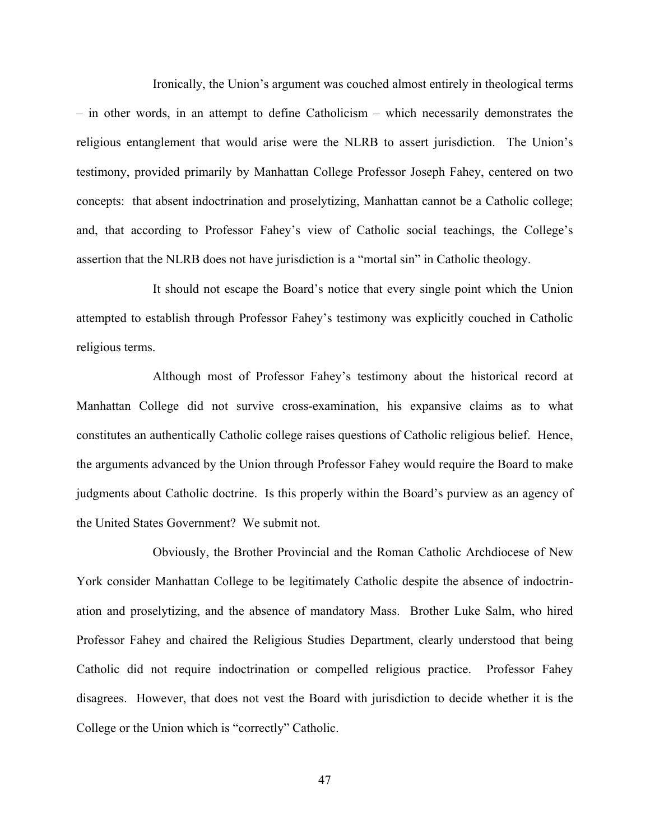Ironically, the Union's argument was couched almost entirely in theological terms – in other words, in an attempt to define Catholicism – which necessarily demonstrates the religious entanglement that would arise were the NLRB to assert jurisdiction. The Union's testimony, provided primarily by Manhattan College Professor Joseph Fahey, centered on two concepts: that absent indoctrination and proselytizing, Manhattan cannot be a Catholic college; and, that according to Professor Fahey's view of Catholic social teachings, the College's assertion that the NLRB does not have jurisdiction is a "mortal sin" in Catholic theology.

It should not escape the Board's notice that every single point which the Union attempted to establish through Professor Fahey's testimony was explicitly couched in Catholic religious terms.

Although most of Professor Fahey's testimony about the historical record at Manhattan College did not survive cross-examination, his expansive claims as to what constitutes an authentically Catholic college raises questions of Catholic religious belief. Hence, the arguments advanced by the Union through Professor Fahey would require the Board to make judgments about Catholic doctrine. Is this properly within the Board's purview as an agency of the United States Government? We submit not.

Obviously, the Brother Provincial and the Roman Catholic Archdiocese of New York consider Manhattan College to be legitimately Catholic despite the absence of indoctrination and proselytizing, and the absence of mandatory Mass. Brother Luke Salm, who hired Professor Fahey and chaired the Religious Studies Department, clearly understood that being Catholic did not require indoctrination or compelled religious practice. Professor Fahey disagrees. However, that does not vest the Board with jurisdiction to decide whether it is the College or the Union which is "correctly" Catholic.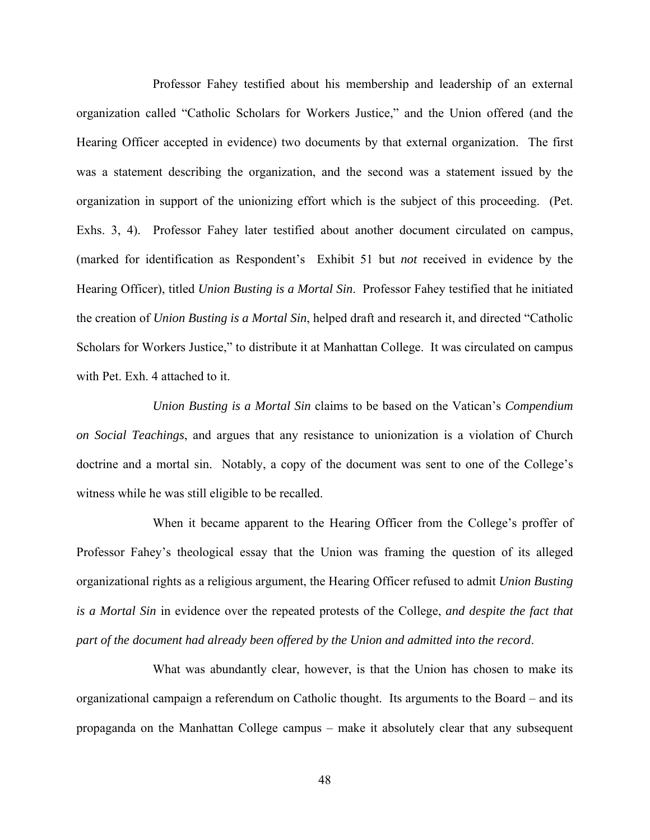Professor Fahey testified about his membership and leadership of an external organization called "Catholic Scholars for Workers Justice," and the Union offered (and the Hearing Officer accepted in evidence) two documents by that external organization. The first was a statement describing the organization, and the second was a statement issued by the organization in support of the unionizing effort which is the subject of this proceeding. (Pet. Exhs. 3, 4). Professor Fahey later testified about another document circulated on campus, (marked for identification as Respondent's Exhibit 51 but *not* received in evidence by the Hearing Officer), titled *Union Busting is a Mortal Sin*. Professor Fahey testified that he initiated the creation of *Union Busting is a Mortal Sin*, helped draft and research it, and directed "Catholic Scholars for Workers Justice," to distribute it at Manhattan College. It was circulated on campus with Pet. Exh. 4 attached to it.

*Union Busting is a Mortal Sin* claims to be based on the Vatican's *Compendium on Social Teachings*, and argues that any resistance to unionization is a violation of Church doctrine and a mortal sin. Notably, a copy of the document was sent to one of the College's witness while he was still eligible to be recalled.

When it became apparent to the Hearing Officer from the College's proffer of Professor Fahey's theological essay that the Union was framing the question of its alleged organizational rights as a religious argument, the Hearing Officer refused to admit *Union Busting is a Mortal Sin* in evidence over the repeated protests of the College, *and despite the fact that part of the document had already been offered by the Union and admitted into the record*.

What was abundantly clear, however, is that the Union has chosen to make its organizational campaign a referendum on Catholic thought. Its arguments to the Board – and its propaganda on the Manhattan College campus – make it absolutely clear that any subsequent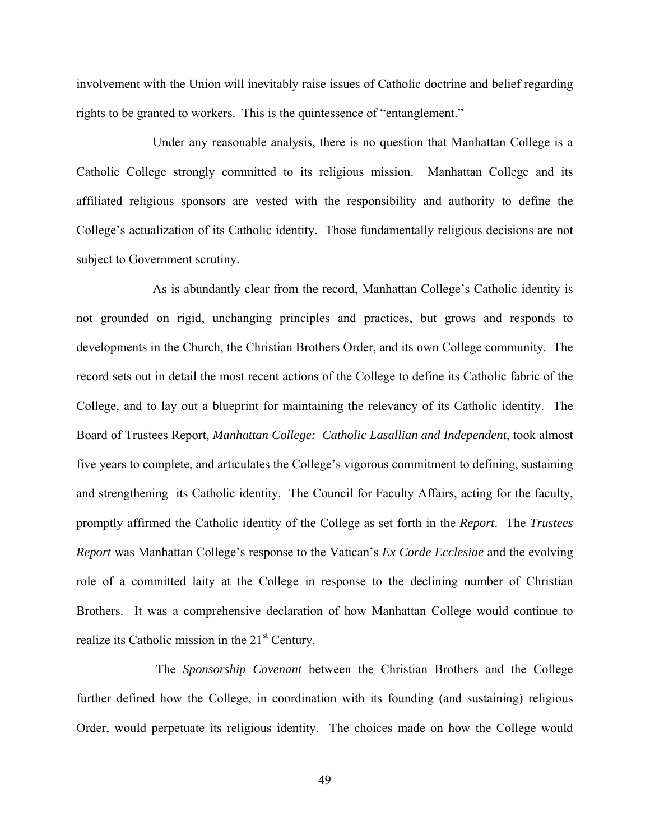involvement with the Union will inevitably raise issues of Catholic doctrine and belief regarding rights to be granted to workers. This is the quintessence of "entanglement."

Under any reasonable analysis, there is no question that Manhattan College is a Catholic College strongly committed to its religious mission. Manhattan College and its affiliated religious sponsors are vested with the responsibility and authority to define the College's actualization of its Catholic identity. Those fundamentally religious decisions are not subject to Government scrutiny.

As is abundantly clear from the record, Manhattan College's Catholic identity is not grounded on rigid, unchanging principles and practices, but grows and responds to developments in the Church, the Christian Brothers Order, and its own College community. The record sets out in detail the most recent actions of the College to define its Catholic fabric of the College, and to lay out a blueprint for maintaining the relevancy of its Catholic identity. The Board of Trustees Report, *Manhattan College: Catholic Lasallian and Independent*, took almost five years to complete, and articulates the College's vigorous commitment to defining, sustaining and strengthening its Catholic identity. The Council for Faculty Affairs, acting for the faculty, promptly affirmed the Catholic identity of the College as set forth in the *Report*. The *Trustees Report* was Manhattan College's response to the Vatican's *Ex Corde Ecclesiae* and the evolving role of a committed laity at the College in response to the declining number of Christian Brothers. It was a comprehensive declaration of how Manhattan College would continue to realize its Catholic mission in the  $21<sup>st</sup>$  Century.

 The *Sponsorship Covenant* between the Christian Brothers and the College further defined how the College, in coordination with its founding (and sustaining) religious Order, would perpetuate its religious identity. The choices made on how the College would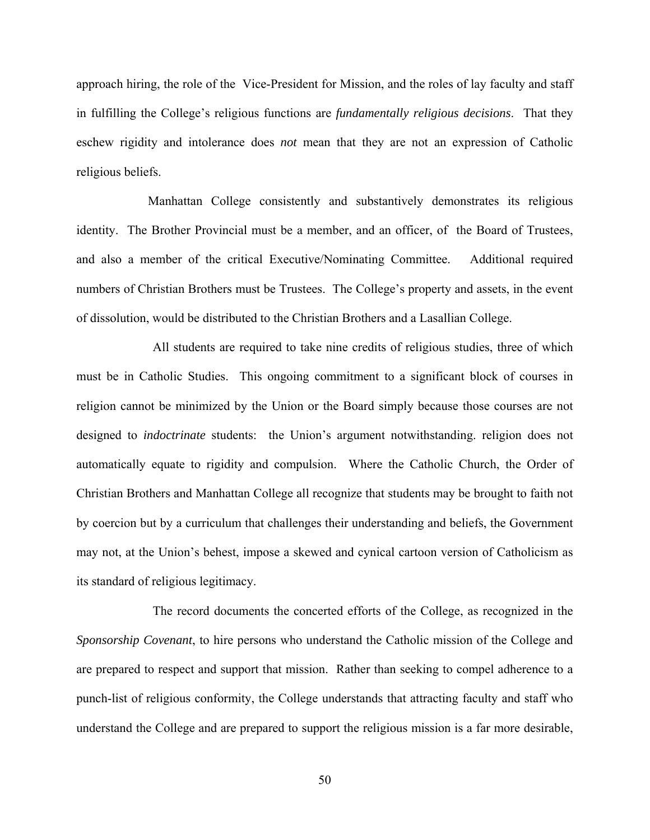approach hiring, the role of the Vice-President for Mission, and the roles of lay faculty and staff in fulfilling the College's religious functions are *fundamentally religious decisions*. That they eschew rigidity and intolerance does *not* mean that they are not an expression of Catholic religious beliefs.

Manhattan College consistently and substantively demonstrates its religious identity. The Brother Provincial must be a member, and an officer, of the Board of Trustees, and also a member of the critical Executive/Nominating Committee. Additional required numbers of Christian Brothers must be Trustees. The College's property and assets, in the event of dissolution, would be distributed to the Christian Brothers and a Lasallian College.

All students are required to take nine credits of religious studies, three of which must be in Catholic Studies. This ongoing commitment to a significant block of courses in religion cannot be minimized by the Union or the Board simply because those courses are not designed to *indoctrinate* students: the Union's argument notwithstanding. religion does not automatically equate to rigidity and compulsion. Where the Catholic Church, the Order of Christian Brothers and Manhattan College all recognize that students may be brought to faith not by coercion but by a curriculum that challenges their understanding and beliefs, the Government may not, at the Union's behest, impose a skewed and cynical cartoon version of Catholicism as its standard of religious legitimacy.

The record documents the concerted efforts of the College, as recognized in the *Sponsorship Covenant*, to hire persons who understand the Catholic mission of the College and are prepared to respect and support that mission. Rather than seeking to compel adherence to a punch-list of religious conformity, the College understands that attracting faculty and staff who understand the College and are prepared to support the religious mission is a far more desirable,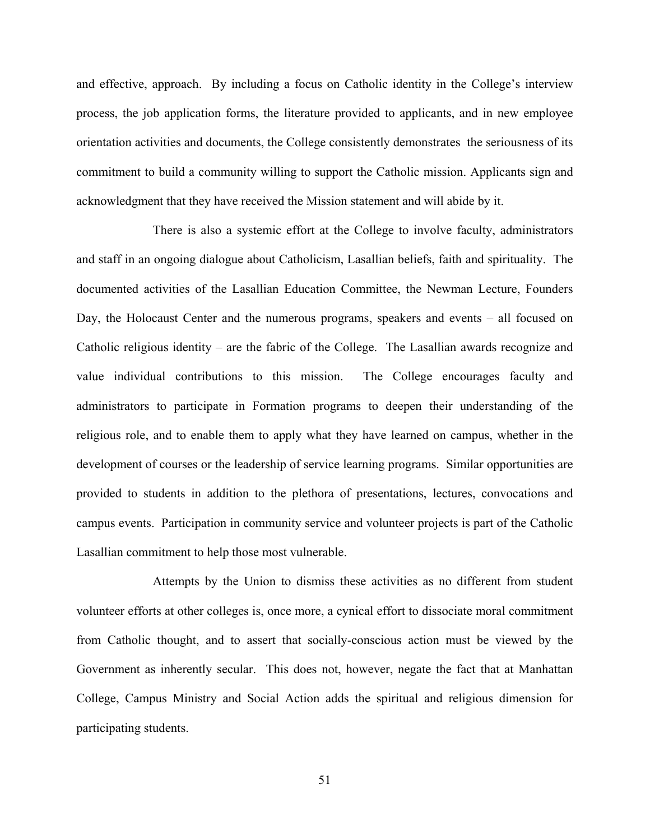and effective, approach. By including a focus on Catholic identity in the College's interview process, the job application forms, the literature provided to applicants, and in new employee orientation activities and documents, the College consistently demonstrates the seriousness of its commitment to build a community willing to support the Catholic mission. Applicants sign and acknowledgment that they have received the Mission statement and will abide by it.

There is also a systemic effort at the College to involve faculty, administrators and staff in an ongoing dialogue about Catholicism, Lasallian beliefs, faith and spirituality. The documented activities of the Lasallian Education Committee, the Newman Lecture, Founders Day, the Holocaust Center and the numerous programs, speakers and events – all focused on Catholic religious identity – are the fabric of the College. The Lasallian awards recognize and value individual contributions to this mission. The College encourages faculty and administrators to participate in Formation programs to deepen their understanding of the religious role, and to enable them to apply what they have learned on campus, whether in the development of courses or the leadership of service learning programs. Similar opportunities are provided to students in addition to the plethora of presentations, lectures, convocations and campus events. Participation in community service and volunteer projects is part of the Catholic Lasallian commitment to help those most vulnerable.

Attempts by the Union to dismiss these activities as no different from student volunteer efforts at other colleges is, once more, a cynical effort to dissociate moral commitment from Catholic thought, and to assert that socially-conscious action must be viewed by the Government as inherently secular. This does not, however, negate the fact that at Manhattan College, Campus Ministry and Social Action adds the spiritual and religious dimension for participating students.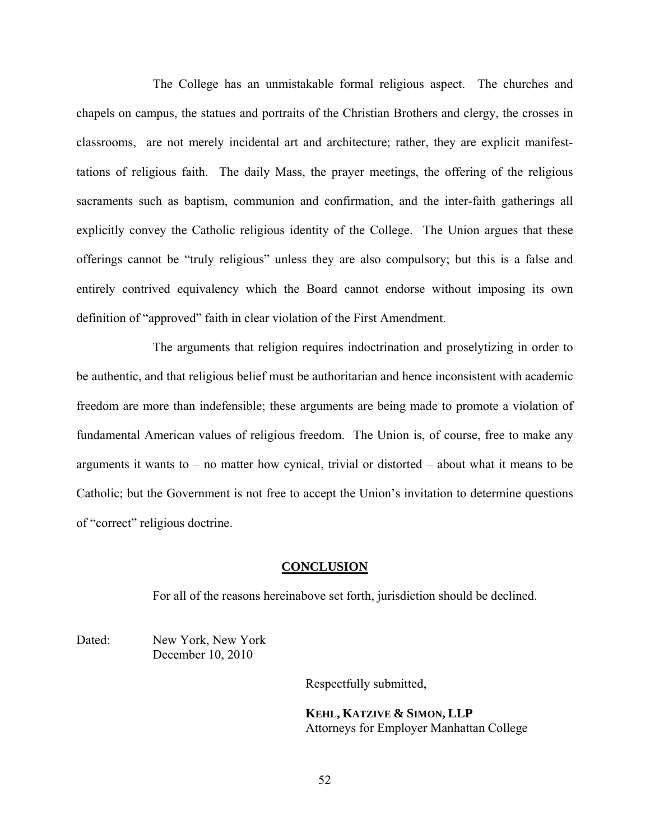The College has an unmistakable formal religious aspect. The churches and chapels on campus, the statues and portraits of the Christian Brothers and clergy, the crosses in classrooms, are not merely incidental art and architecture; rather, they are explicit manifesttations of religious faith. The daily Mass, the prayer meetings, the offering of the religious sacraments such as baptism, communion and confirmation, and the inter-faith gatherings all explicitly convey the Catholic religious identity of the College. The Union argues that these offerings cannot be "truly religious" unless they are also compulsory; but this is a false and entirely contrived equivalency which the Board cannot endorse without imposing its own definition of "approved" faith in clear violation of the First Amendment.

The arguments that religion requires indoctrination and proselytizing in order to be authentic, and that religious belief must be authoritarian and hence inconsistent with academic freedom are more than indefensible; these arguments are being made to promote a violation of fundamental American values of religious freedom. The Union is, of course, free to make any arguments it wants to – no matter how cynical, trivial or distorted – about what it means to be Catholic; but the Government is not free to accept the Union's invitation to determine questions of "correct" religious doctrine.

### **CONCLUSION**

For all of the reasons hereinabove set forth, jurisdiction should be declined.

Dated: New York, New York December 10, 2010

Respectfully submitted,

 **KEHL, KATZIVE & SIMON, LLP**  Attorneys for Employer Manhattan College